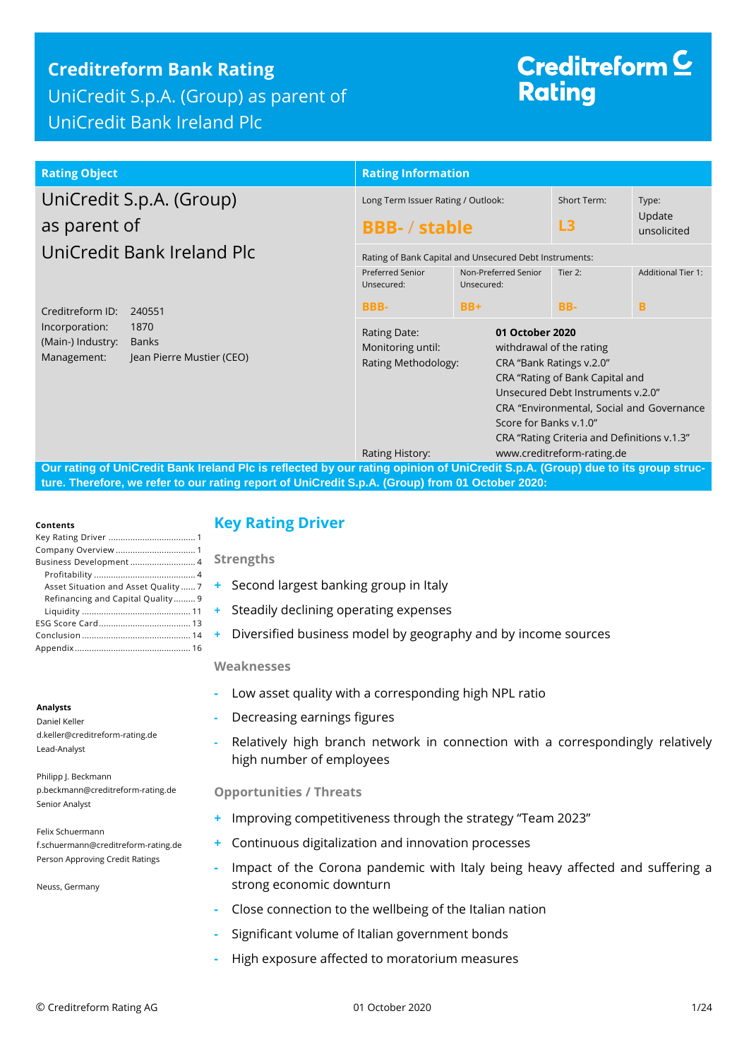## **Creditreform Bank Rating**

UniCredit S.p.A. (Group) as parent of UniCredit Bank Ireland Plc

# Creditreform  $\subseteq$ **Rating**

#### **Rating Object Rating Information** UniCredit S.p.A. (Group) as parent of UniCredit Bank Ireland Plc Creditreform ID: 240551 Incorporation: 1870 (Main-) Industry: Banks Management: Jean Pierre Mustier (CEO) Long Term Issuer Rating / Outlook: **BBB-** / **stable** Short Term: **L3** Type: Update unsolicited Rating of Bank Capital and Unsecured Debt Instruments: Preferred Senior Unsecured: **BBB-**Non-Preferred Senior Unsecured: **BB+** Tier 2: **BB-**Additional Tier 1: **B** Rating Date: **01 October 2020** Monitoring until: withdrawal of the rating Rating Methodology: CRA "Bank Ratings v.2.0" CRA "Rating of Bank Capital and Unsecured Debt Instruments v.2.0" CRA "Environmental, Social and Governance Score for Banks v.1.0" CRA "Rating Criteria and Definitions v.1.3" Rating History: www.creditreform-rating.de

**Our rating of UniCredit Bank Ireland Plc is reflected by our rating opinion of UniCredit S.p.A. (Group) due to its group structure. Therefore, we refer to our rating report of UniCredit S.p.A. (Group) from 01 October 2020:**

#### **Contents**

## <span id="page-0-0"></span>**Key Rating Driver**

**Strengths**

- **+** Second largest banking group in Italy
- **+** Steadily declining operating expenses
- **+** Diversified business model by geography and by income sources

## **Weaknesses**

- **-** Low asset quality with a corresponding high NPL ratio
- **-** Decreasing earnings figures
- **-** Relatively high branch network in connection with a correspondingly relatively high number of employees

## **Opportunities / Threats**

- <span id="page-0-1"></span>**+** Improving competitiveness through the strategy "Team 2023"
- **+** Continuous digitalization and innovation processes
- **-** Impact of the Corona pandemic with Italy being heavy affected and suffering a strong economic downturn
- **-** Close connection to the wellbeing of the Italian nation
- **-** Significant volume of Italian government bonds
- **-** High exposure affected to moratorium measures

#### **Analysts**

Daniel Keller d.keller@creditreform-rating.de Lead-Analyst

Philipp J. Beckmann p.beckmann@creditreform-rating.de Senior Analyst

Felix Schuermann f.schuermann@creditreform-rating.de Person Approving Credit Ratings

Neuss, Germany

© Creditreform Rating AG 01 October 2020 1/24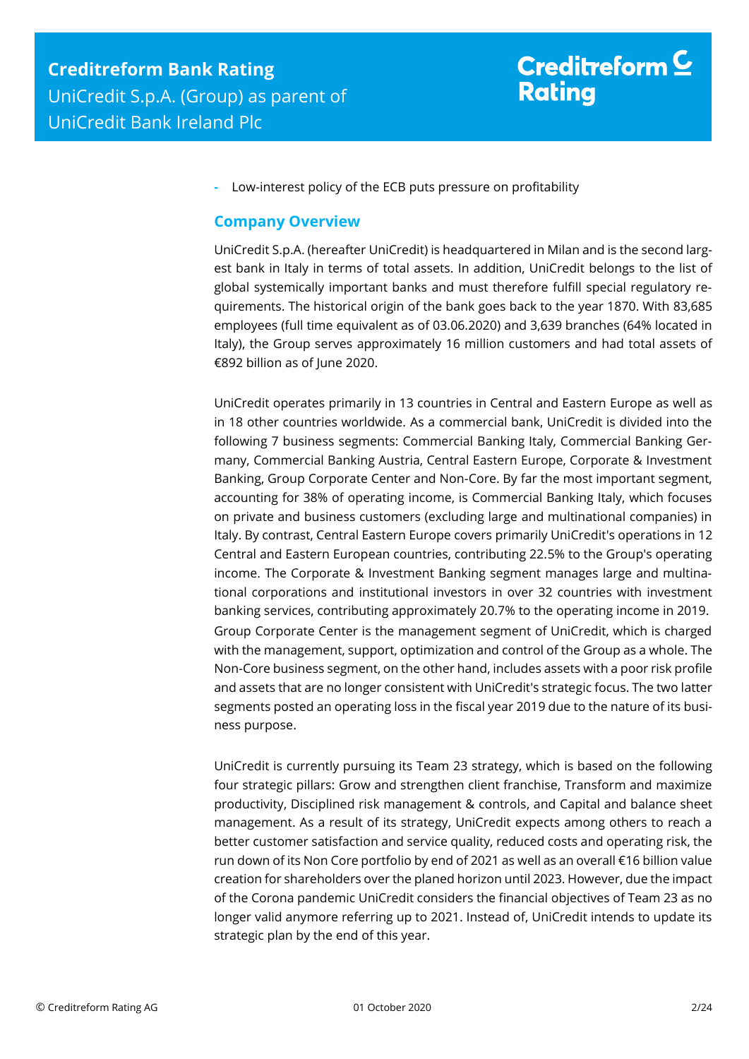**-** Low-interest policy of the ECB puts pressure on profitability

## **Company Overview**

UniCredit S.p.A. (hereafter UniCredit) is headquartered in Milan and is the second largest bank in Italy in terms of total assets. In addition, UniCredit belongs to the list of global systemically important banks and must therefore fulfill special regulatory requirements. The historical origin of the bank goes back to the year 1870. With 83,685 employees (full time equivalent as of 03.06.2020) and 3,639 branches (64% located in Italy), the Group serves approximately 16 million customers and had total assets of €892 billion as of June 2020.

UniCredit operates primarily in 13 countries in Central and Eastern Europe as well as in 18 other countries worldwide. As a commercial bank, UniCredit is divided into the following 7 business segments: Commercial Banking Italy, Commercial Banking Germany, Commercial Banking Austria, Central Eastern Europe, Corporate & Investment Banking, Group Corporate Center and Non-Core. By far the most important segment, accounting for 38% of operating income, is Commercial Banking Italy, which focuses on private and business customers (excluding large and multinational companies) in Italy. By contrast, Central Eastern Europe covers primarily UniCredit's operations in 12 Central and Eastern European countries, contributing 22.5% to the Group's operating income. The Corporate & Investment Banking segment manages large and multinational corporations and institutional investors in over 32 countries with investment banking services, contributing approximately 20.7% to the operating income in 2019. Group Corporate Center is the management segment of UniCredit, which is charged with the management, support, optimization and control of the Group as a whole. The Non-Core business segment, on the other hand, includes assets with a poor risk profile and assets that are no longer consistent with UniCredit's strategic focus. The two latter segments posted an operating loss in the fiscal year 2019 due to the nature of its business purpose.

UniCredit is currently pursuing its Team 23 strategy, which is based on the following four strategic pillars: Grow and strengthen client franchise, Transform and maximize productivity, Disciplined risk management & controls, and Capital and balance sheet management. As a result of its strategy, UniCredit expects among others to reach a better customer satisfaction and service quality, reduced costs and operating risk, the run down of its Non Core portfolio by end of 2021 as well as an overall €16 billion value creation for shareholders over the planed horizon until 2023. However, due the impact of the Corona pandemic UniCredit considers the financial objectives of Team 23 as no longer valid anymore referring up to 2021. Instead of, UniCredit intends to update its strategic plan by the end of this year.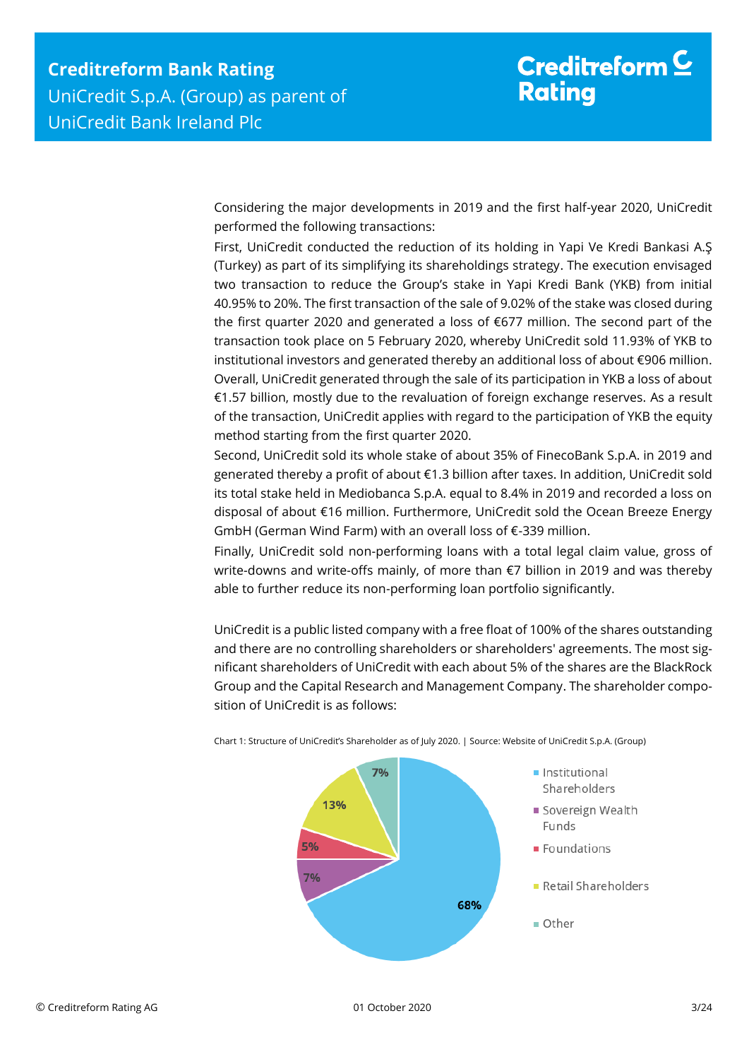Considering the major developments in 2019 and the first half-year 2020, UniCredit performed the following transactions:

First, UniCredit conducted the reduction of its holding in Yapi Ve Kredi Bankasi A.Ş (Turkey) as part of its simplifying its shareholdings strategy. The execution envisaged two transaction to reduce the Group's stake in Yapi Kredi Bank (YKB) from initial 40.95% to 20%. The first transaction of the sale of 9.02% of the stake was closed during the first quarter 2020 and generated a loss of €677 million. The second part of the transaction took place on 5 February 2020, whereby UniCredit sold 11.93% of YKB to institutional investors and generated thereby an additional loss of about €906 million. Overall, UniCredit generated through the sale of its participation in YKB a loss of about €1.57 billion, mostly due to the revaluation of foreign exchange reserves. As a result of the transaction, UniCredit applies with regard to the participation of YKB the equity method starting from the first quarter 2020.

Second, UniCredit sold its whole stake of about 35% of FinecoBank S.p.A. in 2019 and generated thereby a profit of about €1.3 billion after taxes. In addition, UniCredit sold its total stake held in Mediobanca S.p.A. equal to 8.4% in 2019 and recorded a loss on disposal of about €16 million. Furthermore, UniCredit sold the Ocean Breeze Energy GmbH (German Wind Farm) with an overall loss of €-339 million.

Finally, UniCredit sold non-performing loans with a total legal claim value, gross of write-downs and write-offs mainly, of more than €7 billion in 2019 and was thereby able to further reduce its non-performing loan portfolio significantly.

UniCredit is a public listed company with a free float of 100% of the shares outstanding and there are no controlling shareholders or shareholders' agreements. The most significant shareholders of UniCredit with each about 5% of the shares are the BlackRock Group and the Capital Research and Management Company. The shareholder composition of UniCredit is as follows:



Chart 1: Structure of UniCredit's Shareholder as of July 2020. | Source: Website of UniCredit S.p.A. (Group)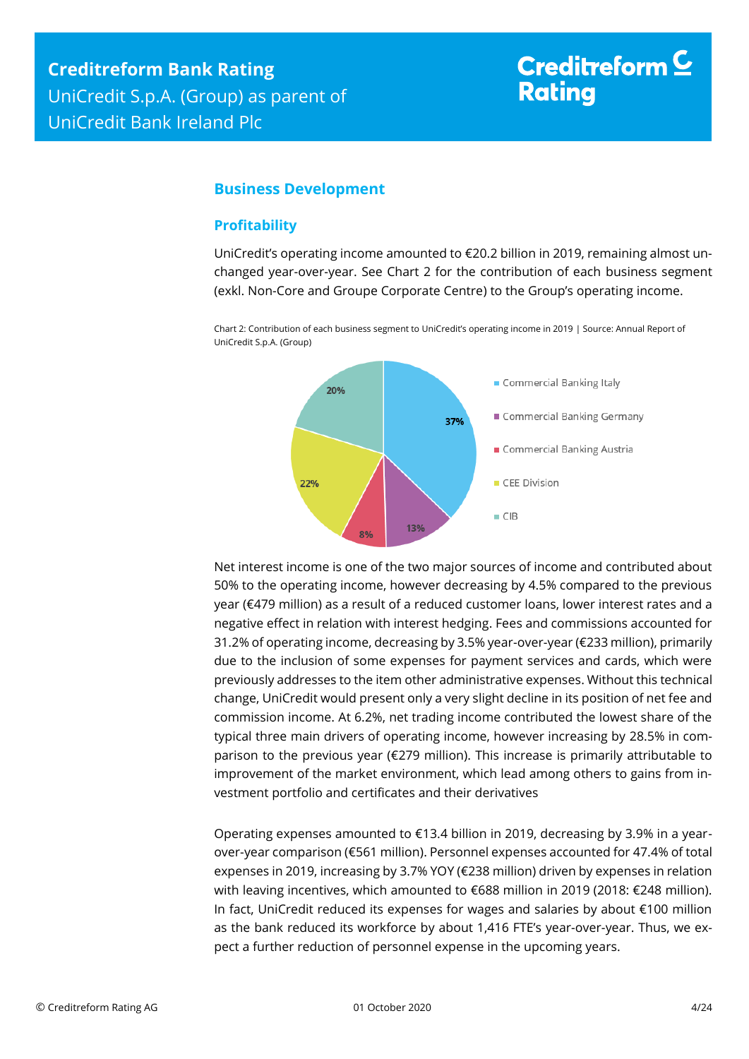# Creditreform  $\subseteq$ **Rating**

## <span id="page-3-0"></span>**Business Development**

## <span id="page-3-1"></span>**Profitability**

UniCredit's operating income amounted to €20.2 billion in 2019, remaining almost unchanged year-over-year. See Chart 2 for the contribution of each business segment (exkl. Non-Core and Groupe Corporate Centre) to the Group's operating income.

Chart 2: Contribution of each business segment to UniCredit's operating income in 2019 | Source: Annual Report of UniCredit S.p.A. (Group)



Net interest income is one of the two major sources of income and contributed about 50% to the operating income, however decreasing by 4.5% compared to the previous year (€479 million) as a result of a reduced customer loans, lower interest rates and a negative effect in relation with interest hedging. Fees and commissions accounted for 31.2% of operating income, decreasing by 3.5% year-over-year (€233 million), primarily due to the inclusion of some expenses for payment services and cards, which were previously addresses to the item other administrative expenses. Without this technical change, UniCredit would present only a very slight decline in its position of net fee and commission income. At 6.2%, net trading income contributed the lowest share of the typical three main drivers of operating income, however increasing by 28.5% in comparison to the previous year (€279 million). This increase is primarily attributable to improvement of the market environment, which lead among others to gains from investment portfolio and certificates and their derivatives

Operating expenses amounted to  $E$ 13.4 billion in 2019, decreasing by 3.9% in a yearover-year comparison (€561 million). Personnel expenses accounted for 47.4% of total expenses in 2019, increasing by 3.7% YOY (€238 million) driven by expenses in relation with leaving incentives, which amounted to €688 million in 2019 (2018: €248 million). In fact, UniCredit reduced its expenses for wages and salaries by about €100 million as the bank reduced its workforce by about 1,416 FTE's year-over-year. Thus, we expect a further reduction of personnel expense in the upcoming years.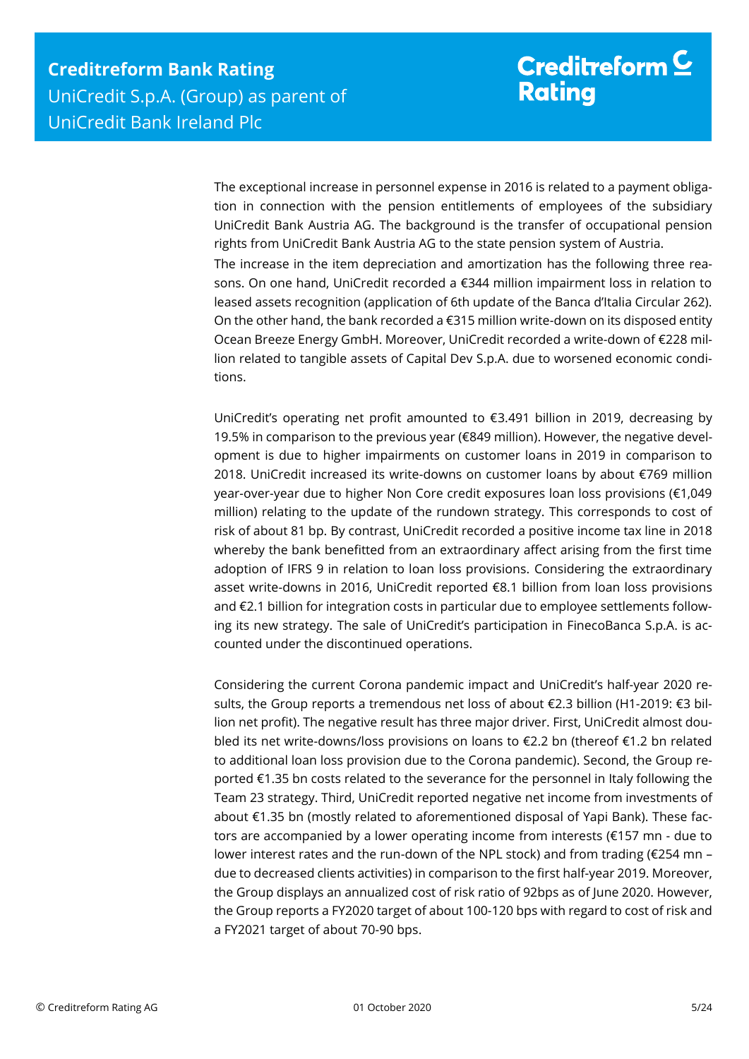The exceptional increase in personnel expense in 2016 is related to a payment obligation in connection with the pension entitlements of employees of the subsidiary UniCredit Bank Austria AG. The background is the transfer of occupational pension rights from UniCredit Bank Austria AG to the state pension system of Austria. The increase in the item depreciation and amortization has the following three reasons. On one hand, UniCredit recorded a €344 million impairment loss in relation to leased assets recognition (application of 6th update of the Banca d'Italia Circular 262). On the other hand, the bank recorded a  $\epsilon$ 315 million write-down on its disposed entity Ocean Breeze Energy GmbH. Moreover, UniCredit recorded a write-down of €228 million related to tangible assets of Capital Dev S.p.A. due to worsened economic conditions.

UniCredit's operating net profit amounted to €3.491 billion in 2019, decreasing by 19.5% in comparison to the previous year ( $\epsilon$ 849 million). However, the negative development is due to higher impairments on customer loans in 2019 in comparison to 2018. UniCredit increased its write-downs on customer loans by about €769 million year-over-year due to higher Non Core credit exposures loan loss provisions (€1,049 million) relating to the update of the rundown strategy. This corresponds to cost of risk of about 81 bp. By contrast, UniCredit recorded a positive income tax line in 2018 whereby the bank benefitted from an extraordinary affect arising from the first time adoption of IFRS 9 in relation to loan loss provisions. Considering the extraordinary asset write-downs in 2016, UniCredit reported €8.1 billion from loan loss provisions and €2.1 billion for integration costs in particular due to employee settlements following its new strategy. The sale of UniCredit's participation in FinecoBanca S.p.A. is accounted under the discontinued operations.

Considering the current Corona pandemic impact and UniCredit's half-year 2020 results, the Group reports a tremendous net loss of about €2.3 billion (H1-2019: €3 billion net profit). The negative result has three major driver. First, UniCredit almost doubled its net write-downs/loss provisions on loans to €2.2 bn (thereof €1.2 bn related to additional loan loss provision due to the Corona pandemic). Second, the Group reported €1.35 bn costs related to the severance for the personnel in Italy following the Team 23 strategy. Third, UniCredit reported negative net income from investments of about €1.35 bn (mostly related to aforementioned disposal of Yapi Bank). These factors are accompanied by a lower operating income from interests (€157 mn - due to lower interest rates and the run-down of the NPL stock) and from trading (€254 mn – due to decreased clients activities) in comparison to the first half-year 2019. Moreover, the Group displays an annualized cost of risk ratio of 92bps as of June 2020. However, the Group reports a FY2020 target of about 100-120 bps with regard to cost of risk and a FY2021 target of about 70-90 bps.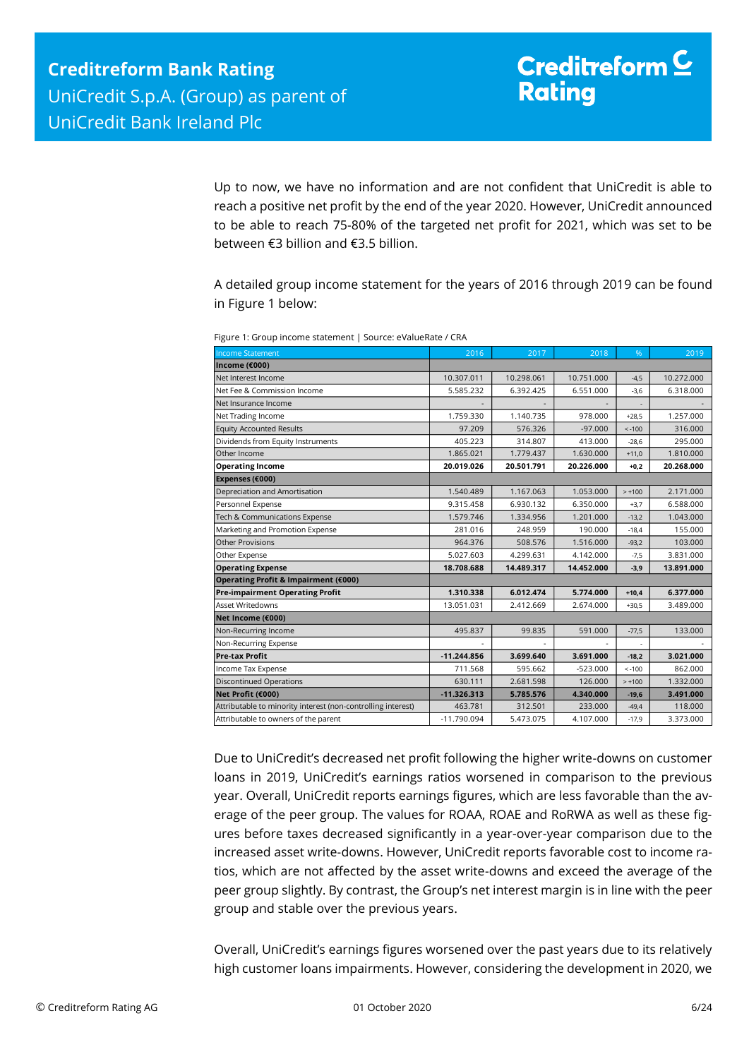Up to now, we have no information and are not confident that UniCredit is able to reach a positive net profit by the end of the year 2020. However, UniCredit announced to be able to reach 75-80% of the targeted net profit for 2021, which was set to be between €3 billion and €3.5 billion.

A detailed group income statement for the years of 2016 through 2019 can be found in Figure 1 below:

| <b>Income Statement</b>                                                                                                                                                                                                                                                                                                                                                                                                                                                                                                                                                                                                                                                                                                         | 2016          | 2017       | 2018       | %          | 2019       |  |
|---------------------------------------------------------------------------------------------------------------------------------------------------------------------------------------------------------------------------------------------------------------------------------------------------------------------------------------------------------------------------------------------------------------------------------------------------------------------------------------------------------------------------------------------------------------------------------------------------------------------------------------------------------------------------------------------------------------------------------|---------------|------------|------------|------------|------------|--|
| Income (€000)                                                                                                                                                                                                                                                                                                                                                                                                                                                                                                                                                                                                                                                                                                                   |               |            |            |            |            |  |
| Net Interest Income                                                                                                                                                                                                                                                                                                                                                                                                                                                                                                                                                                                                                                                                                                             | 10.307.011    | 10.298.061 | 10.751.000 | $-4,5$     | 10.272.000 |  |
| Net Fee & Commission Income                                                                                                                                                                                                                                                                                                                                                                                                                                                                                                                                                                                                                                                                                                     | 5.585.232     | 6.392.425  | 6.551.000  | $-3,6$     | 6.318.000  |  |
| Net Insurance Income                                                                                                                                                                                                                                                                                                                                                                                                                                                                                                                                                                                                                                                                                                            |               |            |            |            |            |  |
| Net Trading Income                                                                                                                                                                                                                                                                                                                                                                                                                                                                                                                                                                                                                                                                                                              | 1.759.330     | 1.140.735  | 978.000    | $+28,5$    | 1.257.000  |  |
| <b>Equity Accounted Results</b>                                                                                                                                                                                                                                                                                                                                                                                                                                                                                                                                                                                                                                                                                                 | 97.209        | 576.326    | $-97.000$  | $\le -100$ | 316.000    |  |
| Dividends from Equity Instruments                                                                                                                                                                                                                                                                                                                                                                                                                                                                                                                                                                                                                                                                                               | 405.223       | 314.807    | 413.000    | $-28,6$    | 295.000    |  |
| Other Income                                                                                                                                                                                                                                                                                                                                                                                                                                                                                                                                                                                                                                                                                                                    | 1.865.021     | 1.779.437  | 1.630.000  | $+11,0$    | 1.810.000  |  |
| <b>Operating Income</b>                                                                                                                                                                                                                                                                                                                                                                                                                                                                                                                                                                                                                                                                                                         | 20.019.026    | 20.501.791 | 20.226.000 | $+0,2$     | 20.268.000 |  |
| Expenses (€000)                                                                                                                                                                                                                                                                                                                                                                                                                                                                                                                                                                                                                                                                                                                 |               |            |            |            |            |  |
| Depreciation and Amortisation                                                                                                                                                                                                                                                                                                                                                                                                                                                                                                                                                                                                                                                                                                   | 1.540.489     | 1.167.063  | 1.053.000  | $> +100$   | 2.171.000  |  |
| Personnel Expense                                                                                                                                                                                                                                                                                                                                                                                                                                                                                                                                                                                                                                                                                                               | 9.315.458     | 6.930.132  | 6.350.000  | $+3,7$     | 6.588.000  |  |
| Tech & Communications Expense                                                                                                                                                                                                                                                                                                                                                                                                                                                                                                                                                                                                                                                                                                   | 1.579.746     | 1.334.956  | 1.201.000  | $-13,2$    | 1.043.000  |  |
| Marketing and Promotion Expense                                                                                                                                                                                                                                                                                                                                                                                                                                                                                                                                                                                                                                                                                                 | 281.016       | 248.959    | 190.000    | $-18,4$    | 155.000    |  |
| <b>Other Provisions</b>                                                                                                                                                                                                                                                                                                                                                                                                                                                                                                                                                                                                                                                                                                         | 964.376       | 508.576    | 1.516.000  | $-93,2$    | 103.000    |  |
| Other Expense                                                                                                                                                                                                                                                                                                                                                                                                                                                                                                                                                                                                                                                                                                                   | 5.027.603     | 4.299.631  | 4.142.000  | $-7,5$     | 3.831.000  |  |
| <b>Operating Expense</b>                                                                                                                                                                                                                                                                                                                                                                                                                                                                                                                                                                                                                                                                                                        | 18.708.688    | 14.489.317 | 14.452.000 | $-3,9$     | 13.891.000 |  |
| Operating Profit & Impairment (€000)                                                                                                                                                                                                                                                                                                                                                                                                                                                                                                                                                                                                                                                                                            |               |            |            |            |            |  |
| <b>Pre-impairment Operating Profit</b>                                                                                                                                                                                                                                                                                                                                                                                                                                                                                                                                                                                                                                                                                          | 1.310.338     | 6.012.474  | 5.774.000  | $+10,4$    | 6.377.000  |  |
| Asset Writedowns                                                                                                                                                                                                                                                                                                                                                                                                                                                                                                                                                                                                                                                                                                                | 13.051.031    | 2.412.669  | 2.674.000  | $+30,5$    | 3.489.000  |  |
| Net Income (€000)<br>Non-Recurring Income                                                                                                                                                                                                                                                                                                                                                                                                                                                                                                                                                                                                                                                                                       | 495.837       | 99.835     | 591.000    | $-77,5$    | 133.000    |  |
| Non-Recurring Expense                                                                                                                                                                                                                                                                                                                                                                                                                                                                                                                                                                                                                                                                                                           |               |            |            |            |            |  |
| <b>Pre-tax Profit</b>                                                                                                                                                                                                                                                                                                                                                                                                                                                                                                                                                                                                                                                                                                           | $-11.244.856$ | 3.699.640  | 3.691.000  | $-18,2$    | 3.021.000  |  |
| Income Tax Expense                                                                                                                                                                                                                                                                                                                                                                                                                                                                                                                                                                                                                                                                                                              | 711.568       | 595.662    | $-523.000$ | $< -100$   | 862.000    |  |
| <b>Discontinued Operations</b>                                                                                                                                                                                                                                                                                                                                                                                                                                                                                                                                                                                                                                                                                                  | 630.111       | 2.681.598  | 126.000    | $> +100$   | 1.332.000  |  |
| Net Profit (€000)                                                                                                                                                                                                                                                                                                                                                                                                                                                                                                                                                                                                                                                                                                               | $-11.326.313$ | 5.785.576  | 4.340.000  | $-19,6$    | 3.491.000  |  |
| Attributable to minority interest (non-controlling interest)                                                                                                                                                                                                                                                                                                                                                                                                                                                                                                                                                                                                                                                                    | 463.781       | 312.501    | 233.000    | $-49,4$    | 118.000    |  |
| Attributable to owners of the parent                                                                                                                                                                                                                                                                                                                                                                                                                                                                                                                                                                                                                                                                                            | -11.790.094   | 5.473.075  | 4.107.000  | $-17,9$    | 3.373.000  |  |
| Due to UniCredit's decreased net profit following the higher write-downs on customer<br>loans in 2019, UniCredit's earnings ratios worsened in comparison to the previous<br>year. Overall, UniCredit reports earnings figures, which are less favorable than the av-<br>erage of the peer group. The values for ROAA, ROAE and RoRWA as well as these fig-<br>ures before taxes decreased significantly in a year-over-year comparison due to the<br>increased asset write-downs. However, UniCredit reports favorable cost to income ra-<br>tios, which are not affected by the asset write-downs and exceed the average of the<br>peer group slightly. By contrast, the Group's net interest margin is in line with the peer |               |            |            |            |            |  |
| group and stable over the previous years.<br>Overall, UniCredit's earnings figures worsened over the past years due to its relatively                                                                                                                                                                                                                                                                                                                                                                                                                                                                                                                                                                                           |               |            |            |            |            |  |

Figure 1: Group income statement | Source: eValueRate / CRA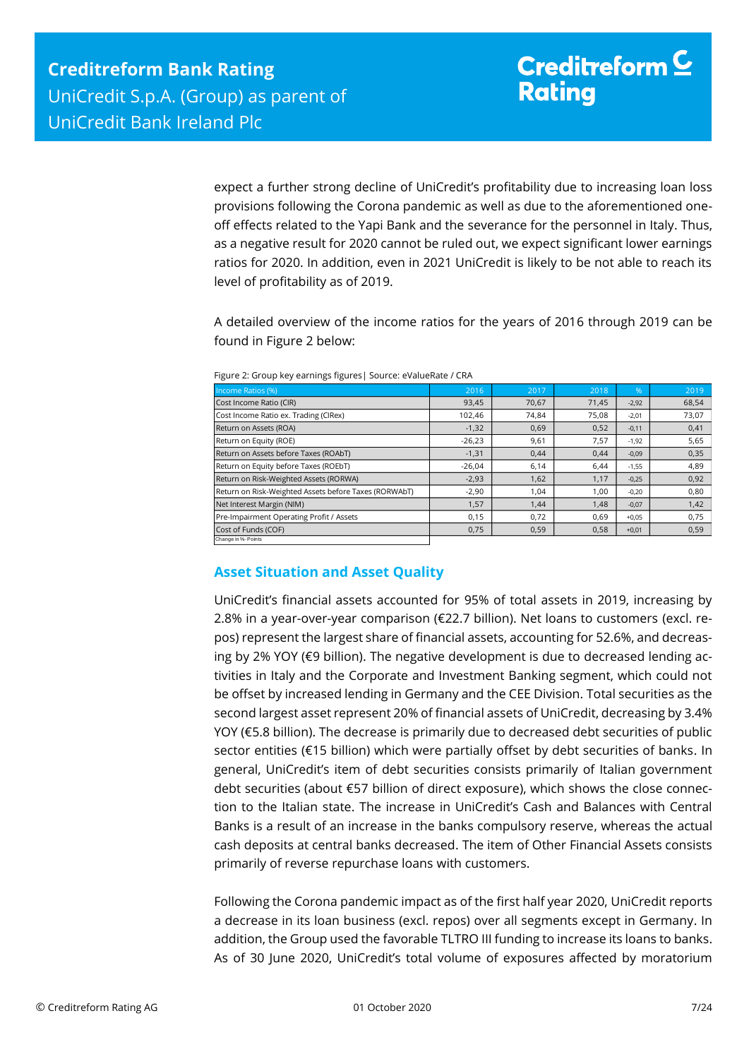expect a further strong decline of UniCredit's profitability due to increasing loan loss provisions following the Corona pandemic as well as due to the aforementioned oneoff effects related to the Yapi Bank and the severance for the personnel in Italy. Thus, as a negative result for 2020 cannot be ruled out, we expect significant lower earnings ratios for 2020. In addition, even in 2021 UniCredit is likely to be not able to reach its level of profitability as of 2019.

A detailed overview of the income ratios for the years of 2016 through 2019 can be found in Figure 2 below:

| Income Ratios (%)                                     | 2016     | 2017  | 2018  | .96     | 2019  |
|-------------------------------------------------------|----------|-------|-------|---------|-------|
| Cost Income Ratio (CIR)                               | 93,45    | 70.67 | 71,45 | $-2,92$ | 68,54 |
| Cost Income Ratio ex. Trading (CIRex)                 | 102.46   | 74.84 | 75,08 | $-2,01$ | 73,07 |
| Return on Assets (ROA)                                | $-1,32$  | 0,69  | 0,52  | $-0,11$ | 0,41  |
| Return on Equity (ROE)                                | $-26,23$ | 9,61  | 7,57  | $-1,92$ | 5,65  |
| Return on Assets before Taxes (ROAbT)                 | $-1,31$  | 0.44  | 0,44  | $-0,09$ | 0,35  |
| Return on Equity before Taxes (ROEbT)                 | $-26,04$ | 6,14  | 6.44  | $-1,55$ | 4,89  |
| Return on Risk-Weighted Assets (RORWA)                | $-2,93$  | 1,62  | 1,17  | $-0,25$ | 0,92  |
| Return on Risk-Weighted Assets before Taxes (RORWAbT) | $-2,90$  | 1.04  | 1.00  | $-0,20$ | 0,80  |
| Net Interest Margin (NIM)                             | 1,57     | 1,44  | 1,48  | $-0,07$ | 1,42  |
| Pre-Impairment Operating Profit / Assets              | 0,15     | 0.72  | 0.69  | $+0,05$ | 0,75  |
| Cost of Funds (COF)                                   | 0,75     | 0,59  | 0,58  | $+0,01$ | 0,59  |
| Change in %- Points                                   |          |       |       |         |       |

Figure 2: Group key earnings figures| Source: eValueRate / CRA

## <span id="page-6-0"></span>**Asset Situation and Asset Quality**

UniCredit's financial assets accounted for 95% of total assets in 2019, increasing by 2.8% in a year-over-year comparison (€22.7 billion). Net loans to customers (excl. repos) represent the largest share of financial assets, accounting for 52.6%, and decreasing by 2% YOY (€9 billion). The negative development is due to decreased lending activities in Italy and the Corporate and Investment Banking segment, which could not be offset by increased lending in Germany and the CEE Division. Total securities as the second largest asset represent 20% of financial assets of UniCredit, decreasing by 3.4% YOY (€5.8 billion). The decrease is primarily due to decreased debt securities of public sector entities (€15 billion) which were partially offset by debt securities of banks. In general, UniCredit's item of debt securities consists primarily of Italian government debt securities (about €57 billion of direct exposure), which shows the close connection to the Italian state. The increase in UniCredit's Cash and Balances with Central Banks is a result of an increase in the banks compulsory reserve, whereas the actual cash deposits at central banks decreased. The item of Other Financial Assets consists primarily of reverse repurchase loans with customers.

Following the Corona pandemic impact as of the first half year 2020, UniCredit reports a decrease in its loan business (excl. repos) over all segments except in Germany. In addition, the Group used the favorable TLTRO III funding to increase its loans to banks. As of 30 June 2020, UniCredit's total volume of exposures affected by moratorium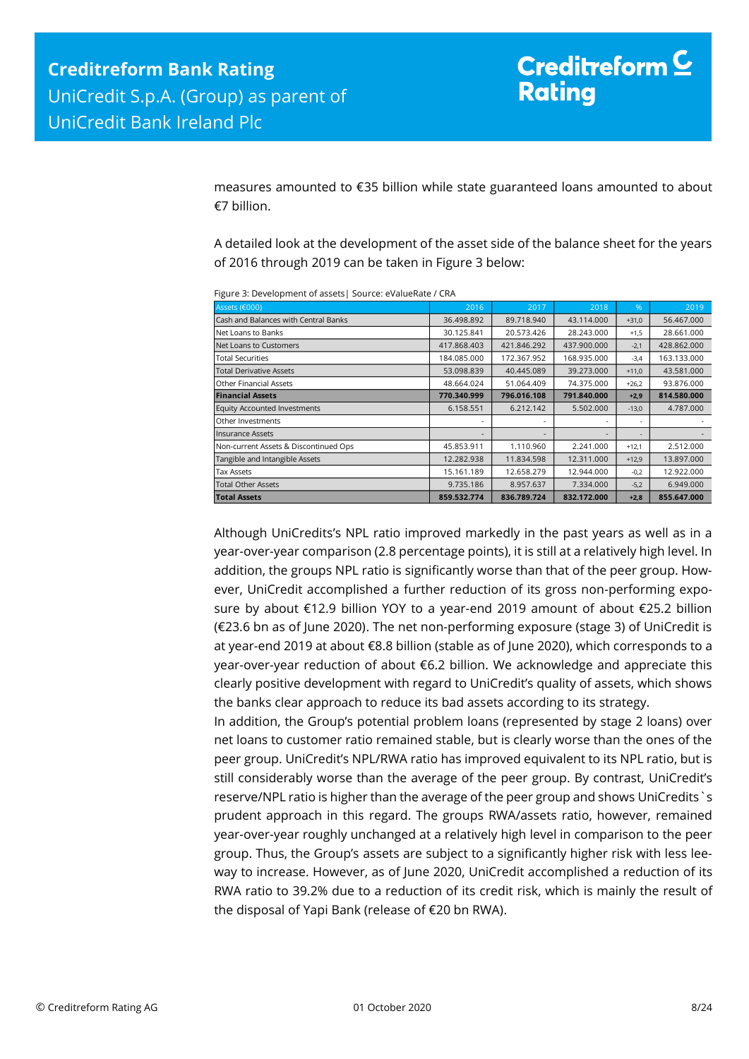measures amounted to €35 billion while state guaranteed loans amounted to about €7 billion.

A detailed look at the development of the asset side of the balance sheet for the years of 2016 through 2019 can be taken in Figure 3 below:

| Assets (€000)                         | 2016        | 2017        | 2018        | $\%$    | 2019        |  |
|---------------------------------------|-------------|-------------|-------------|---------|-------------|--|
| Cash and Balances with Central Banks  | 36.498.892  | 89.718.940  | 43.114.000  | $+31,0$ | 56.467.000  |  |
| Net Loans to Banks                    | 30.125.841  | 20.573.426  | 28.243.000  | $+1,5$  | 28.661.000  |  |
| Net Loans to Customers                | 417.868.403 | 421.846.292 | 437.900.000 | $-2,1$  | 428.862.000 |  |
| <b>Total Securities</b>               | 184.085.000 | 172.367.952 | 168.935.000 | $-3,4$  | 163.133.000 |  |
| <b>Total Derivative Assets</b>        | 53.098.839  | 40.445.089  | 39.273.000  | $+11,0$ | 43.581.000  |  |
| <b>Other Financial Assets</b>         | 48.664.024  | 51.064.409  | 74.375.000  | $+26,2$ | 93.876.000  |  |
| <b>Financial Assets</b>               | 770.340.999 | 796.016.108 | 791.840.000 | $+2,9$  | 814.580.000 |  |
| Equity Accounted Investments          | 6.158.551   | 6.212.142   | 5.502.000   | $-13,0$ | 4.787.000   |  |
| Other Investments                     |             |             |             | ٠       |             |  |
| <b>Insurance Assets</b>               |             |             |             | ۰       |             |  |
| Non-current Assets & Discontinued Ops | 45.853.911  | 1.110.960   | 2.241.000   | $+12.1$ | 2.512.000   |  |
| Tangible and Intangible Assets        | 12.282.938  | 11.834.598  | 12.311.000  | $+12,9$ | 13.897.000  |  |
| Tax Assets                            | 15.161.189  | 12.658.279  | 12.944.000  | $-0,2$  | 12.922.000  |  |
| <b>Total Other Assets</b>             | 9.735.186   | 8.957.637   | 7.334.000   | $-5,2$  | 6.949.000   |  |
| <b>Total Assets</b>                   | 859.532.774 | 836.789.724 | 832.172.000 | $+2,8$  | 855.647.000 |  |

Figure 3: Development of assets| Source: eValueRate / CRA

Although UniCredits's NPL ratio improved markedly in the past years as well as in a year-over-year comparison (2.8 percentage points), it is still at a relatively high level. In addition, the groups NPL ratio is significantly worse than that of the peer group. However, UniCredit accomplished a further reduction of its gross non-performing exposure by about €12.9 billion YOY to a year-end 2019 amount of about €25.2 billion (€23.6 bn as of June 2020). The net non-performing exposure (stage 3) of UniCredit is at year-end 2019 at about €8.8 billion (stable as of June 2020), which corresponds to a year-over-year reduction of about €6.2 billion. We acknowledge and appreciate this clearly positive development with regard to UniCredit's quality of assets, which shows the banks clear approach to reduce its bad assets according to its strategy.

In addition, the Group's potential problem loans (represented by stage 2 loans) over net loans to customer ratio remained stable, but is clearly worse than the ones of the peer group. UniCredit's NPL/RWA ratio has improved equivalent to its NPL ratio, but is still considerably worse than the average of the peer group. By contrast, UniCredit's reserve/NPL ratio is higher than the average of the peer group and shows UniCredits`s prudent approach in this regard. The groups RWA/assets ratio, however, remained year-over-year roughly unchanged at a relatively high level in comparison to the peer group. Thus, the Group's assets are subject to a significantly higher risk with less leeway to increase. However, as of June 2020, UniCredit accomplished a reduction of its RWA ratio to 39.2% due to a reduction of its credit risk, which is mainly the result of the disposal of Yapi Bank (release of €20 bn RWA).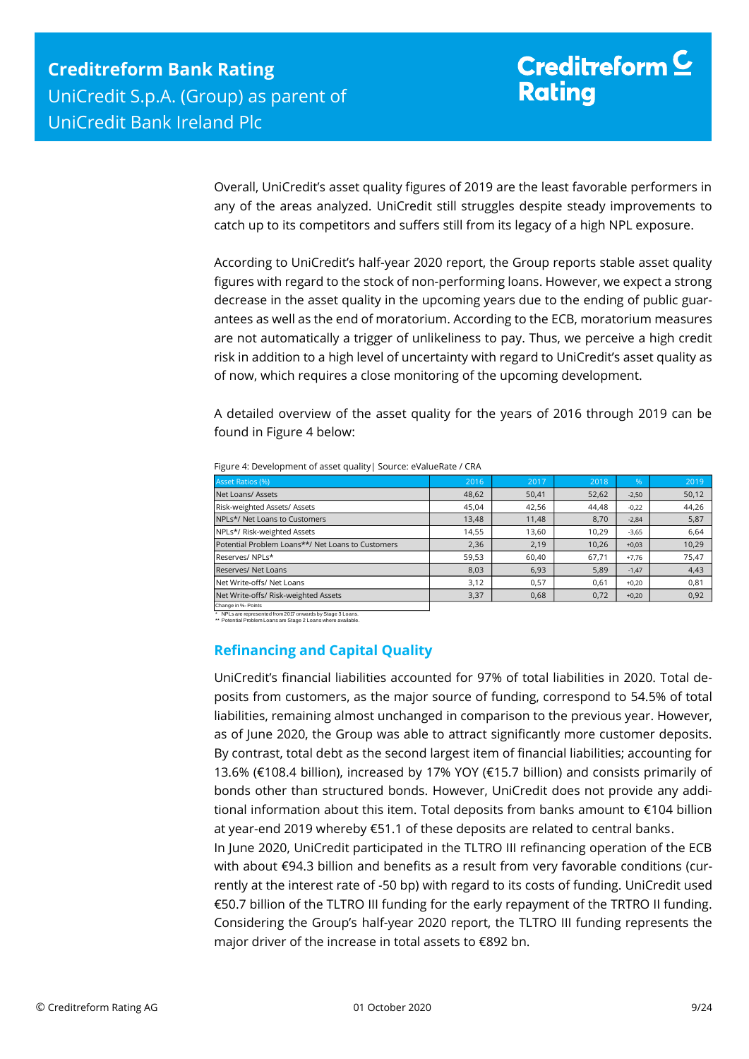Overall, UniCredit's asset quality figures of 2019 are the least favorable performers in any of the areas analyzed. UniCredit still struggles despite steady improvements to catch up to its competitors and suffers still from its legacy of a high NPL exposure.

According to UniCredit's half-year 2020 report, the Group reports stable asset quality figures with regard to the stock of non-performing loans. However, we expect a strong decrease in the asset quality in the upcoming years due to the ending of public guarantees as well as the end of moratorium. According to the ECB, moratorium measures are not automatically a trigger of unlikeliness to pay. Thus, we perceive a high credit risk in addition to a high level of uncertainty with regard to UniCredit's asset quality as of now, which requires a close monitoring of the upcoming development.

A detailed overview of the asset quality for the years of 2016 through 2019 can be found in Figure 4 below:

| <b>Asset Ratios (%)</b>                           | 2016  | 2017  | 2018  | $\%$    | 2019  |
|---------------------------------------------------|-------|-------|-------|---------|-------|
| Net Loans/ Assets                                 | 48,62 | 50,41 | 52,62 | $-2,50$ | 50,12 |
| Risk-weighted Assets/ Assets                      | 45,04 | 42,56 | 44,48 | $-0,22$ | 44,26 |
| NPLs*/ Net Loans to Customers                     | 13.48 | 11.48 | 8,70  | $-2,84$ | 5,87  |
| NPLs*/ Risk-weighted Assets                       | 14,55 | 13,60 | 10.29 | $-3,65$ | 6,64  |
| Potential Problem Loans**/ Net Loans to Customers | 2,36  | 2,19  | 10.26 | $+0,03$ | 10,29 |
| Reserves/NPLs*                                    | 59,53 | 60,40 | 67,71 | $+7.76$ | 75,47 |
| Reserves/ Net Loans                               | 8,03  | 6,93  | 5,89  | $-1,47$ | 4,43  |
| Net Write-offs/ Net Loans                         | 3,12  | 0,57  | 0,61  | $+0,20$ | 0,81  |
| Net Write-offs/ Risk-weighted Assets              | 3,37  | 0,68  | 0,72  | $+0,20$ | 0,92  |
| Change in %- Points                               |       |       |       |         |       |

Figure 4: Development of asset quality| Source: eValueRate / CRA

<span id="page-8-0"></span>\* NPLs are represented from 2017 onwards by Stage 3 Loans. \*\* Potential Problem Loans are Stage 2 Loans where available.

## **Refinancing and Capital Quality**

UniCredit's financial liabilities accounted for 97% of total liabilities in 2020. Total deposits from customers, as the major source of funding, correspond to 54.5% of total liabilities, remaining almost unchanged in comparison to the previous year. However, as of June 2020, the Group was able to attract significantly more customer deposits. By contrast, total debt as the second largest item of financial liabilities; accounting for 13.6% (€108.4 billion), increased by 17% YOY (€15.7 billion) and consists primarily of bonds other than structured bonds. However, UniCredit does not provide any additional information about this item. Total deposits from banks amount to €104 billion at year-end 2019 whereby €51.1 of these deposits are related to central banks.

In June 2020, UniCredit participated in the TLTRO III refinancing operation of the ECB with about €94.3 billion and benefits as a result from very favorable conditions (currently at the interest rate of -50 bp) with regard to its costs of funding. UniCredit used €50.7 billion of the TLTRO III funding for the early repayment of the TRTRO II funding. Considering the Group's half-year 2020 report, the TLTRO III funding represents the major driver of the increase in total assets to €892 bn.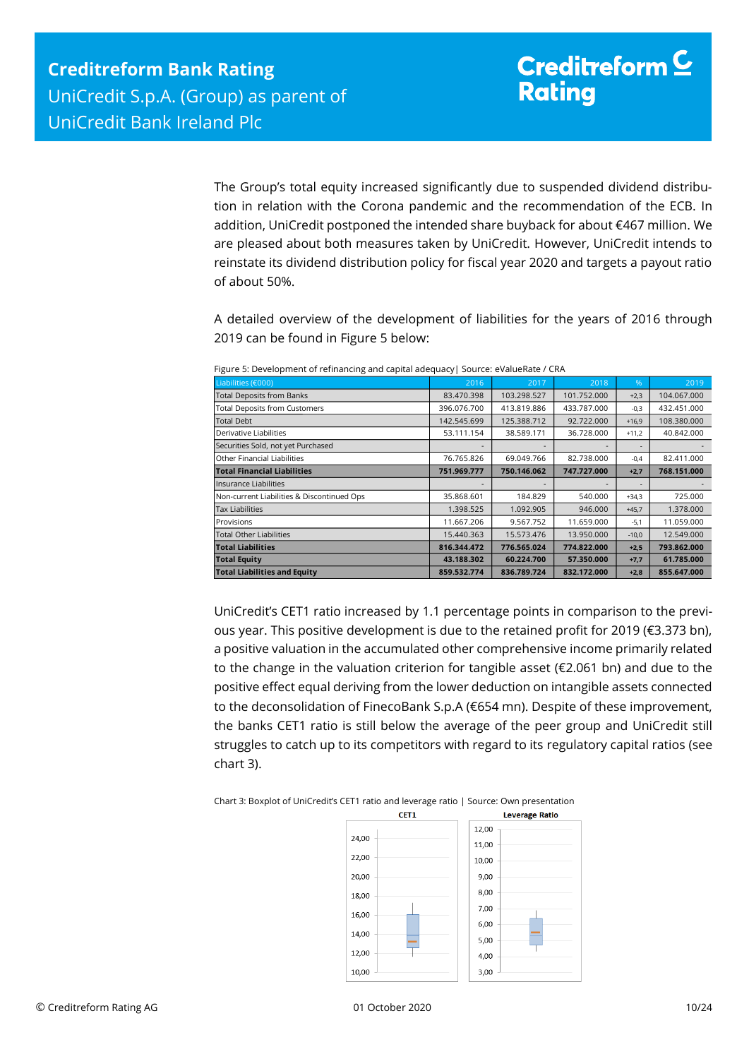The Group's total equity increased significantly due to suspended dividend distribution in relation with the Corona pandemic and the recommendation of the ECB. In addition, UniCredit postponed the intended share buyback for about €467 million. We are pleased about both measures taken by UniCredit. However, UniCredit intends to reinstate its dividend distribution policy for fiscal year 2020 and targets a payout ratio of about 50%.

A detailed overview of the development of liabilities for the years of 2016 through 2019 can be found in Figure 5 below:

| Liabilities (€000)                         | 2016        | 2017        | 2018        | $\frac{9}{6}$ | 2019        |
|--------------------------------------------|-------------|-------------|-------------|---------------|-------------|
| <b>Total Deposits from Banks</b>           | 83.470.398  | 103.298.527 | 101.752.000 | $+2,3$        | 104.067.000 |
| <b>Total Deposits from Customers</b>       | 396.076.700 | 413.819.886 | 433.787.000 | $-0,3$        | 432.451.000 |
| <b>Total Debt</b>                          | 142.545.699 | 125.388.712 | 92.722.000  | $+16,9$       | 108.380.000 |
| Derivative Liabilities                     | 53.111.154  | 38.589.171  | 36.728.000  | $+11,2$       | 40.842.000  |
| Securities Sold, not yet Purchased         |             |             |             |               |             |
| Other Financial Liabilities                | 76.765.826  | 69.049.766  | 82.738.000  | $-0,4$        | 82.411.000  |
| <b>Total Financial Liabilities</b>         | 751.969.777 | 750.146.062 | 747.727.000 | $+2,7$        | 768.151.000 |
| Insurance Liabilities                      |             |             |             | ٠             |             |
| Non-current Liabilities & Discontinued Ops | 35.868.601  | 184.829     | 540.000     | $+34,3$       | 725.000     |
| <b>Tax Liabilities</b>                     | 1.398.525   | 1.092.905   | 946.000     | $+45,7$       | 1.378.000   |
| Provisions                                 | 11.667.206  | 9.567.752   | 11.659.000  | $-5,1$        | 11.059.000  |
| <b>Total Other Liabilities</b>             | 15.440.363  | 15.573.476  | 13.950.000  | $-10,0$       | 12.549.000  |
| <b>Total Liabilities</b>                   | 816.344.472 | 776.565.024 | 774.822.000 | $+2,5$        | 793.862.000 |
| <b>Total Equity</b>                        | 43.188.302  | 60.224.700  | 57.350.000  | $+7,7$        | 61.785.000  |
| <b>Total Liabilities and Equity</b>        | 859.532.774 | 836.789.724 | 832.172.000 | $+2,8$        | 855.647.000 |

Figure 5: Development of refinancing and capital adequacy| Source: eValueRate / CRA

UniCredit's CET1 ratio increased by 1.1 percentage points in comparison to the previous year. This positive development is due to the retained profit for 2019 (€3.373 bn), a positive valuation in the accumulated other comprehensive income primarily related to the change in the valuation criterion for tangible asset (€2.061 bn) and due to the positive effect equal deriving from the lower deduction on intangible assets connected to the deconsolidation of FinecoBank S.p.A (€654 mn). Despite of these improvement, the banks CET1 ratio is still below the average of the peer group and UniCredit still struggles to catch up to its competitors with regard to its regulatory capital ratios (see chart 3).

Chart 3: Boxplot of UniCredit's CET1 ratio and leverage ratio | Source: Own presentation

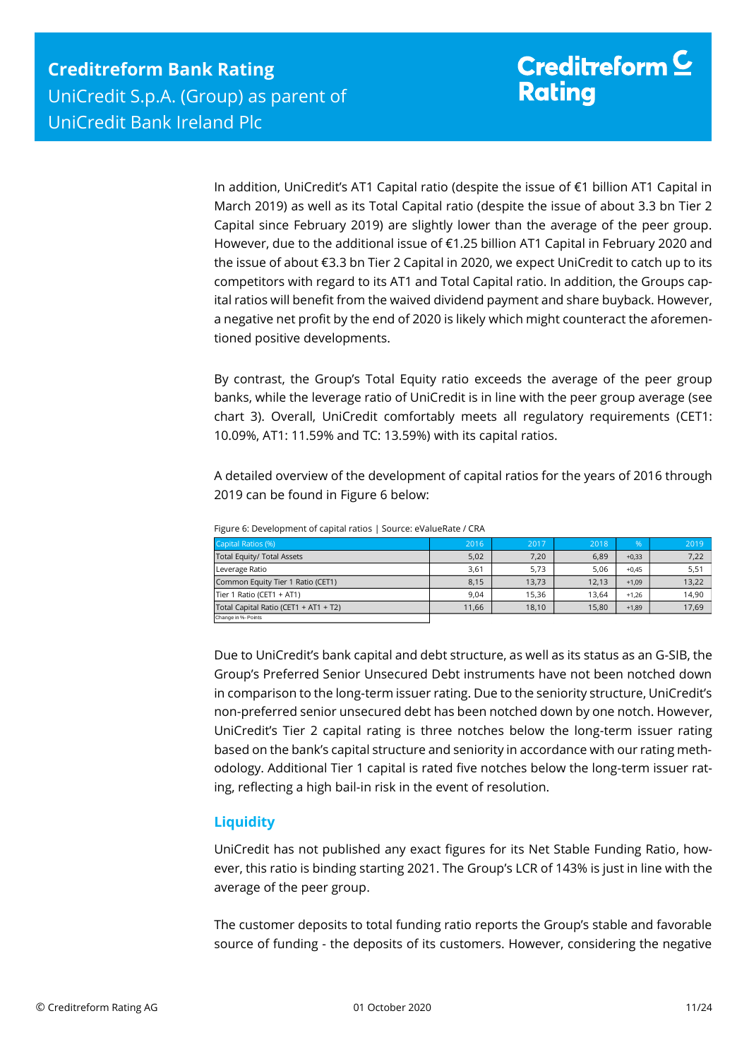In addition, UniCredit's AT1 Capital ratio (despite the issue of €1 billion AT1 Capital in March 2019) as well as its Total Capital ratio (despite the issue of about 3.3 bn Tier 2 Capital since February 2019) are slightly lower than the average of the peer group. However, due to the additional issue of €1.25 billion AT1 Capital in February 2020 and the issue of about €3.3 bn Tier 2 Capital in 2020, we expect UniCredit to catch up to its competitors with regard to its AT1 and Total Capital ratio. In addition, the Groups capital ratios will benefit from the waived dividend payment and share buyback. However, a negative net profit by the end of 2020 is likely which might counteract the aforementioned positive developments.

By contrast, the Group's Total Equity ratio exceeds the average of the peer group banks, while the leverage ratio of UniCredit is in line with the peer group average (see chart 3). Overall, UniCredit comfortably meets all regulatory requirements (CET1: 10.09%, AT1: 11.59% and TC: 13.59%) with its capital ratios.

A detailed overview of the development of capital ratios for the years of 2016 through 2019 can be found in Figure 6 below:

| Capital Ratios (%)                    | 2016  | 2017  | 2018  | %       | 2019  |
|---------------------------------------|-------|-------|-------|---------|-------|
| Total Equity/ Total Assets            | 5,02  | 7,20  | 6,89  | $+0,33$ | 7,22  |
| Leverage Ratio                        | 3,61  | 5.73  | 5.06  | $+0.45$ | 5,51  |
| Common Equity Tier 1 Ratio (CET1)     | 8,15  | 13.73 | 12,13 | $+1,09$ | 13,22 |
| Tier 1 Ratio (CET1 + AT1)             | 9.04  | 15.36 | 13,64 | $+1.26$ | 14,90 |
| Total Capital Ratio (CET1 + AT1 + T2) | 11,66 | 18.10 | 15,80 | $+1,89$ | 17,69 |
| Change in %-Points                    |       |       |       |         |       |

Figure 6: Development of capital ratios | Source: eValueRate / CRA

<span id="page-10-0"></span>Due to UniCredit's bank capital and debt structure, as well as its status as an G-SIB, the Group's Preferred Senior Unsecured Debt instruments have not been notched down in comparison to the long-term issuer rating. Due to the seniority structure, UniCredit's non-preferred senior unsecured debt has been notched down by one notch. However, UniCredit's Tier 2 capital rating is three notches below the long-term issuer rating based on the bank's capital structure and seniority in accordance with our rating methodology. Additional Tier 1 capital is rated five notches below the long-term issuer rating, reflecting a high bail-in risk in the event of resolution.

## **Liquidity**

UniCredit has not published any exact figures for its Net Stable Funding Ratio, however, this ratio is binding starting 2021. The Group's LCR of 143% is just in line with the average of the peer group.

The customer deposits to total funding ratio reports the Group's stable and favorable source of funding - the deposits of its customers. However, considering the negative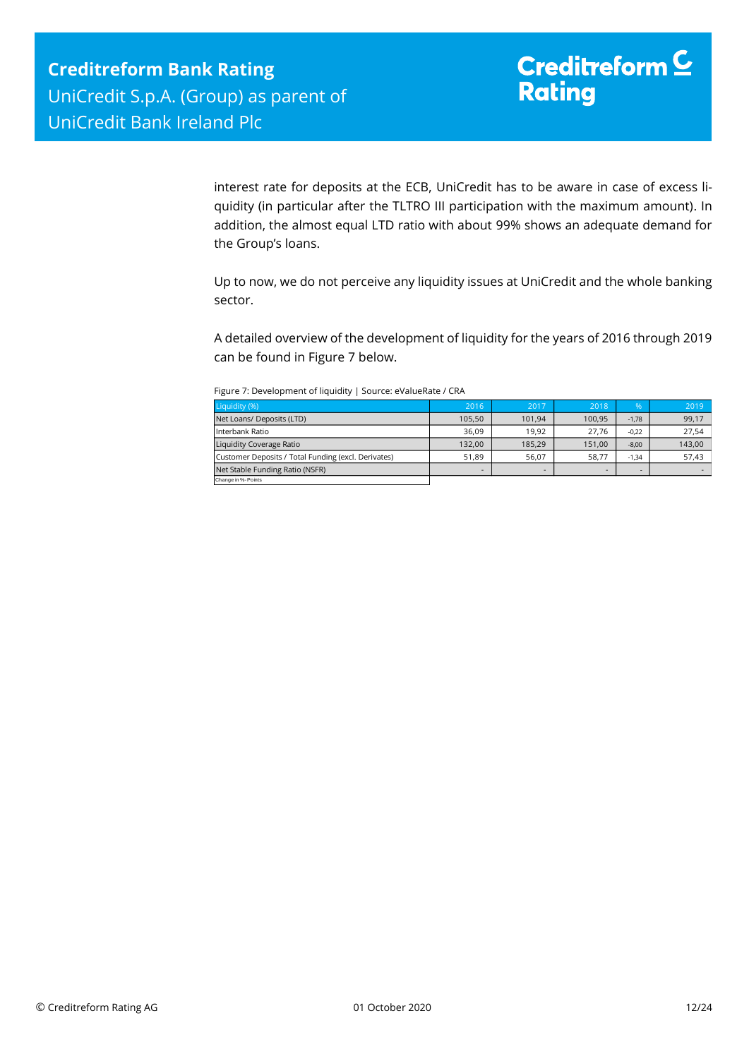interest rate for deposits at the ECB, UniCredit has to be aware in case of excess liquidity (in particular after the TLTRO III participation with the maximum amount). In addition, the almost equal LTD ratio with about 99% shows an adequate demand for the Group's loans.

Up to now, we do not perceive any liquidity issues at UniCredit and the whole banking sector.

A detailed overview of the development of liquidity for the years of 2016 through 2019 can be found in Figure 7 below.

| Figure 7: Development of liquidity   Source: eValueRate / CRA |  |
|---------------------------------------------------------------|--|
|---------------------------------------------------------------|--|

| Liquidity (%)                                       | 2016                     | 2017   | 2018   | $\frac{9}{6}$ | 2019   |
|-----------------------------------------------------|--------------------------|--------|--------|---------------|--------|
| Net Loans/ Deposits (LTD)                           | 105.50                   | 101.94 | 100,95 | $-1,78$       | 99,17  |
| Interbank Ratio                                     | 36.09                    | 19.92  | 27.76  | $-0.22$       | 27,54  |
| Liquidity Coverage Ratio                            | 132.00                   | 185,29 | 151,00 | $-8,00$       | 143,00 |
| Customer Deposits / Total Funding (excl. Derivates) | 51.89                    | 56.07  | 58.77  | $-1.34$       | 57,43  |
| Net Stable Funding Ratio (NSFR)                     | $\overline{\phantom{0}}$ |        |        |               |        |
| Change in %-Points                                  |                          |        |        |               |        |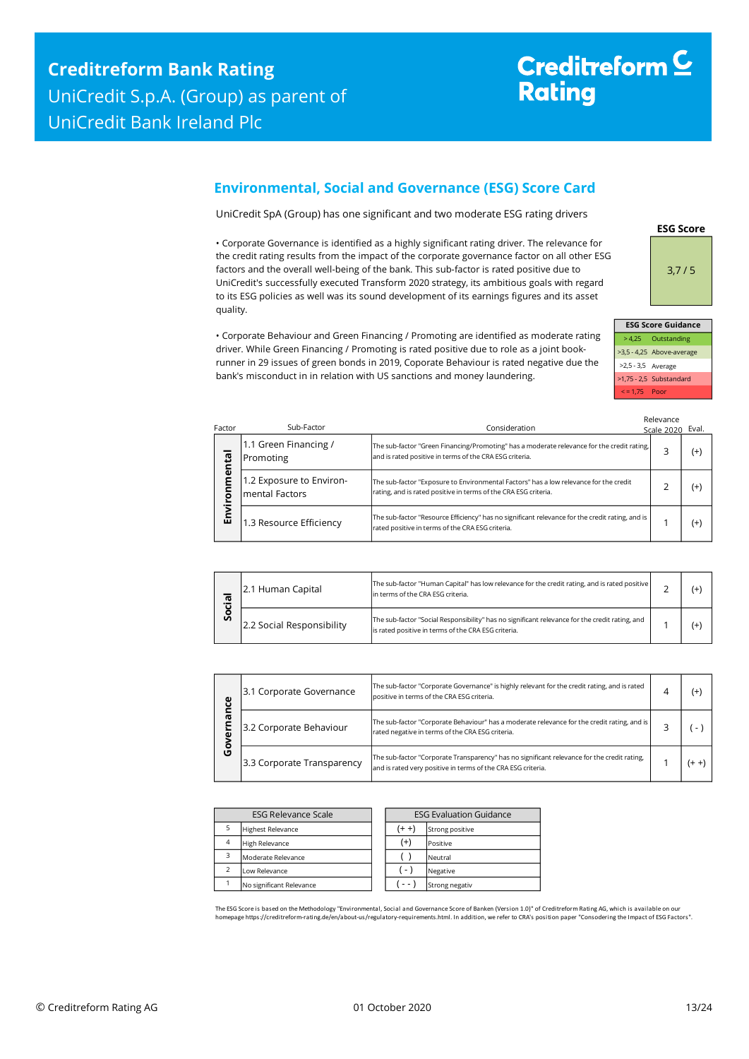# Creditreform<sup>C</sup> **Rating**

## <span id="page-12-0"></span>**Environmental, Social and Governance (ESG) Score Card**

UniCredit SpA (Group) has one significant and two moderate ESG rating drivers

• Corporate Governance is identified as a highly significant rating driver. The relevance for the credit rating results from the impact of the corporate governance factor on all other ESG factors and the overall well-being of the bank. This sub-factor is rated positive due to UniCredit's successfully executed Transform 2020 strategy, its ambitious goals with regard to its ESG policies as well was its sound development of its earnings figures and its asset quality.

• Corporate Behaviour and Green Financing / Promoting are identified as moderate rating driver. While Green Financing / Promoting is rated positive due to role as a joint bookrunner in 29 issues of green bonds in 2019, Coporate Behaviour is rated negative due the bank's misconduct in in relation with US sanctions and money laundering.

3,7 / 5

**ESG Score**

| <b>ESG Score Guidance</b> |                           |  |  |  |  |
|---------------------------|---------------------------|--|--|--|--|
|                           | > 4,25 Outstanding        |  |  |  |  |
|                           | >3,5 - 4,25 Above-average |  |  |  |  |
|                           | $>2,5 - 3,5$ Average      |  |  |  |  |
|                           | >1,75 - 2,5 Substandard   |  |  |  |  |
|                           | $\le$ = 1.75 Poor         |  |  |  |  |

| Factor    | Sub-Factor                                 | Consideration                                                                                                                                            | Relevance<br>Scale 2020 | Eval.    |
|-----------|--------------------------------------------|----------------------------------------------------------------------------------------------------------------------------------------------------------|-------------------------|----------|
|           | 1.1 Green Financing /<br>Promoting         | The sub-factor "Green Financing/Promoting" has a moderate relevance for the credit rating,<br>and is rated positive in terms of the CRA ESG criteria.    | 3                       | $^{(+)}$ |
| ronmental | 1.2 Exposure to Environ-<br>mental Factors | The sub-factor "Exposure to Environmental Factors" has a low relevance for the credit<br>rating, and is rated positive in terms of the CRA ESG criteria. |                         | (+)      |
| Envir     | 1.3 Resource Efficiency                    | The sub-factor "Resource Efficiency" has no significant relevance for the credit rating, and is<br>rated positive in terms of the CRA ESG criteria.      |                         | $^{(+)}$ |

| ര<br>ο<br>Ū | 2.1 Human Capital         | The sub-factor "Human Capital" has low relevance for the credit rating, and is rated positive<br>In terms of the CRA ESG criteria.                    |  |  |
|-------------|---------------------------|-------------------------------------------------------------------------------------------------------------------------------------------------------|--|--|
|             | 2.2 Social Responsibility | The sub-factor "Social Responsibility" has no significant relevance for the credit rating, and<br>is rated positive in terms of the CRA ESG criteria. |  |  |

| Φ<br>ū  | 3.1 Corporate Governance   | The sub-factor "Corporate Governance" is highly relevant for the credit rating, and is rated<br>positive in terms of the CRA ESG criteria.                  | (+ |
|---------|----------------------------|-------------------------------------------------------------------------------------------------------------------------------------------------------------|----|
| ᡕᢐ<br>α | 3.2 Corporate Behaviour    | The sub-factor "Corporate Behaviour" has a moderate relevance for the credit rating, and is<br>rated negative in terms of the CRA ESG criteria.             |    |
| U       | 3.3 Corporate Transparency | The sub-factor "Corporate Transparency" has no significant relevance for the credit rating,<br>and is rated very positive in terms of the CRA ESG criteria. |    |

| <b>ESG Relevance Scale</b> |                          |  | <b>ESG Evaluation Guidance</b> |                 |  |
|----------------------------|--------------------------|--|--------------------------------|-----------------|--|
| 5                          | <b>Highest Relevance</b> |  | $(+ +)$                        | Strong positive |  |
| $\overline{4}$             | <b>High Relevance</b>    |  | $^{(+)}$                       | Positive        |  |
| 3                          | Moderate Relevance       |  |                                | Neutral         |  |
| $\overline{\phantom{0}}$   | Low Relevance            |  | ( - )                          | Negative        |  |
|                            | No significant Relevance |  |                                | Strong negativ  |  |

The ESG Score is based on the Methodology "Environmental, Social and Governance Score of Banken (Version 1.0)" of Creditreform Rating AG, which is available on our<br>homepage https://creditreform-rating.de/en/about-us/regula homepage https://creditreform-rating.de/en/about-us/regulatory-requirements.html. In addition, we refer to CRA's position paper "Conso<br>epage https://creditreform-rating.de/en/about-us/regulatory-requirements.html. In addit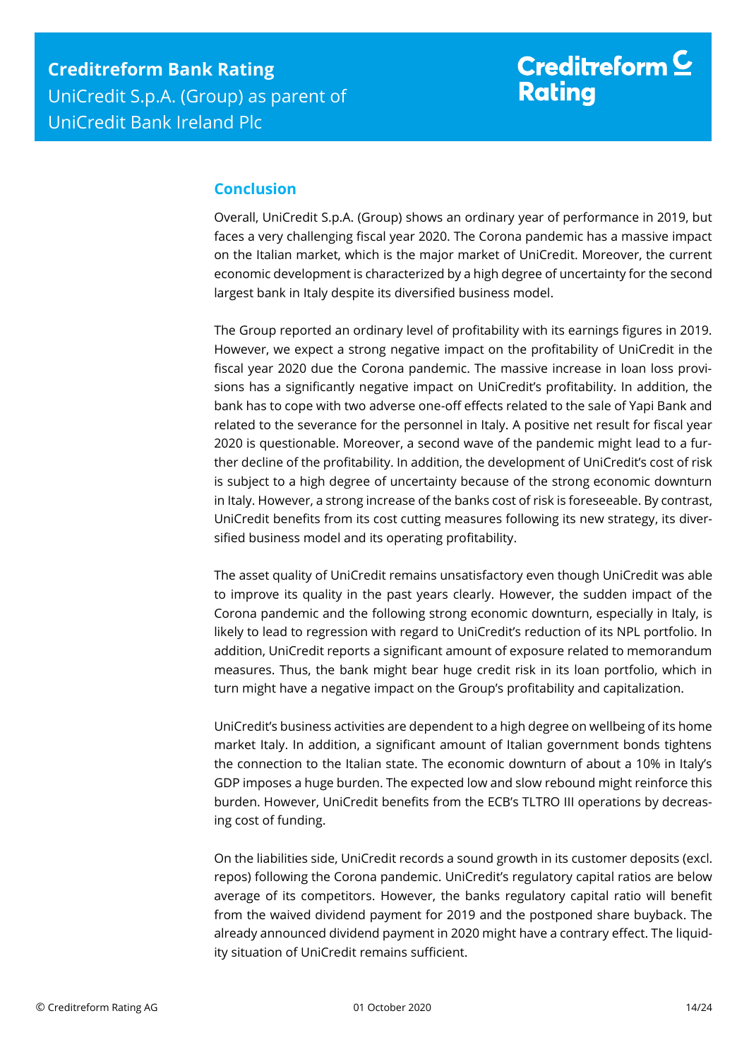## <span id="page-13-0"></span>**Conclusion**

Overall, UniCredit S.p.A. (Group) shows an ordinary year of performance in 2019, but faces a very challenging fiscal year 2020. The Corona pandemic has a massive impact on the Italian market, which is the major market of UniCredit. Moreover, the current economic development is characterized by a high degree of uncertainty for the second largest bank in Italy despite its diversified business model.

The Group reported an ordinary level of profitability with its earnings figures in 2019. However, we expect a strong negative impact on the profitability of UniCredit in the fiscal year 2020 due the Corona pandemic. The massive increase in loan loss provisions has a significantly negative impact on UniCredit's profitability. In addition, the bank has to cope with two adverse one-off effects related to the sale of Yapi Bank and related to the severance for the personnel in Italy. A positive net result for fiscal year 2020 is questionable. Moreover, a second wave of the pandemic might lead to a further decline of the profitability. In addition, the development of UniCredit's cost of risk is subject to a high degree of uncertainty because of the strong economic downturn in Italy. However, a strong increase of the banks cost of risk is foreseeable. By contrast, UniCredit benefits from its cost cutting measures following its new strategy, its diversified business model and its operating profitability.

The asset quality of UniCredit remains unsatisfactory even though UniCredit was able to improve its quality in the past years clearly. However, the sudden impact of the Corona pandemic and the following strong economic downturn, especially in Italy, is likely to lead to regression with regard to UniCredit's reduction of its NPL portfolio. In addition, UniCredit reports a significant amount of exposure related to memorandum measures. Thus, the bank might bear huge credit risk in its loan portfolio, which in turn might have a negative impact on the Group's profitability and capitalization.

UniCredit's business activities are dependent to a high degree on wellbeing of its home market Italy. In addition, a significant amount of Italian government bonds tightens the connection to the Italian state. The economic downturn of about a 10% in Italy's GDP imposes a huge burden. The expected low and slow rebound might reinforce this burden. However, UniCredit benefits from the ECB's TLTRO III operations by decreasing cost of funding.

On the liabilities side, UniCredit records a sound growth in its customer deposits (excl. repos) following the Corona pandemic. UniCredit's regulatory capital ratios are below average of its competitors. However, the banks regulatory capital ratio will benefit from the waived dividend payment for 2019 and the postponed share buyback. The already announced dividend payment in 2020 might have a contrary effect. The liquidity situation of UniCredit remains sufficient.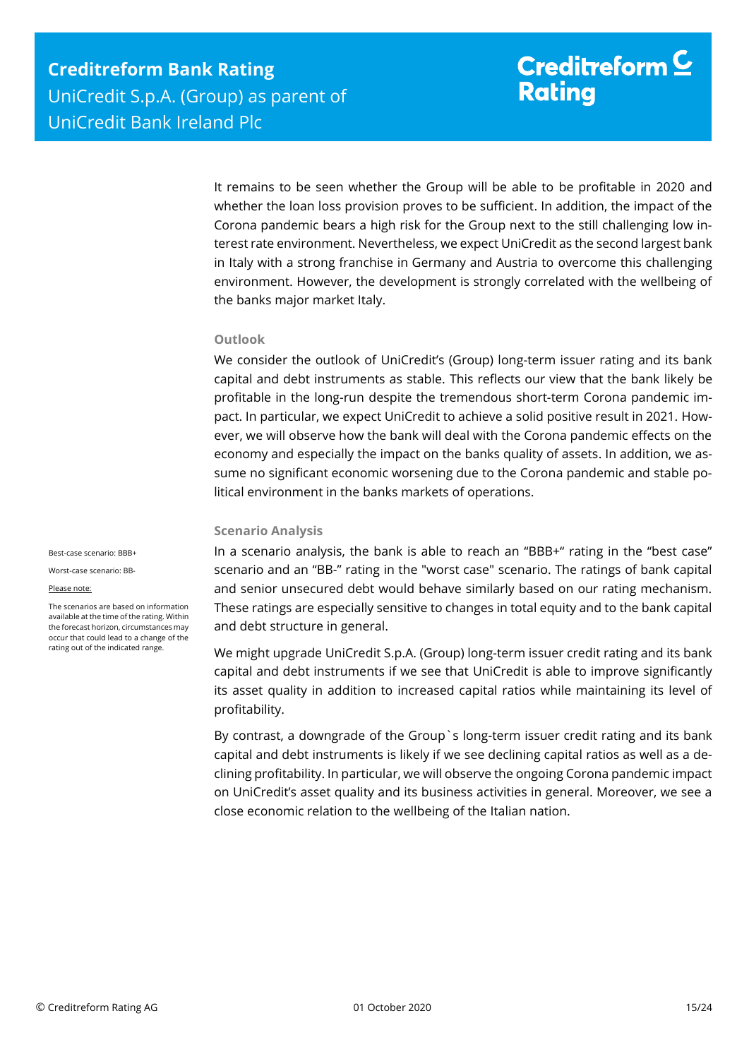It remains to be seen whether the Group will be able to be profitable in 2020 and whether the loan loss provision proves to be sufficient. In addition, the impact of the Corona pandemic bears a high risk for the Group next to the still challenging low interest rate environment. Nevertheless, we expect UniCredit as the second largest bank in Italy with a strong franchise in Germany and Austria to overcome this challenging environment. However, the development is strongly correlated with the wellbeing of the banks major market Italy.

## **Outlook**

We consider the outlook of UniCredit's (Group) long-term issuer rating and its bank capital and debt instruments as stable. This reflects our view that the bank likely be profitable in the long-run despite the tremendous short-term Corona pandemic impact. In particular, we expect UniCredit to achieve a solid positive result in 2021. However, we will observe how the bank will deal with the Corona pandemic effects on the economy and especially the impact on the banks quality of assets. In addition, we assume no significant economic worsening due to the Corona pandemic and stable political environment in the banks markets of operations.

## **Scenario Analysis**

Best-case scenario: BBB+ Worst-case scenario: BB-

#### Please note:

The scenarios are based on information available at the time of the rating. Within the forecast horizon, circumstances may occur that could lead to a change of the rating out of the indicated range.

In a scenario analysis, the bank is able to reach an "BBB+" rating in the "best case" scenario and an "BB-" rating in the "worst case" scenario. The ratings of bank capital and senior unsecured debt would behave similarly based on our rating mechanism. These ratings are especially sensitive to changes in total equity and to the bank capital and debt structure in general.

We might upgrade UniCredit S.p.A. (Group) long-term issuer credit rating and its bank capital and debt instruments if we see that UniCredit is able to improve significantly its asset quality in addition to increased capital ratios while maintaining its level of profitability.

By contrast, a downgrade of the Group`s long-term issuer credit rating and its bank capital and debt instruments is likely if we see declining capital ratios as well as a declining profitability. In particular, we will observe the ongoing Corona pandemic impact on UniCredit's asset quality and its business activities in general. Moreover, we see a close economic relation to the wellbeing of the Italian nation.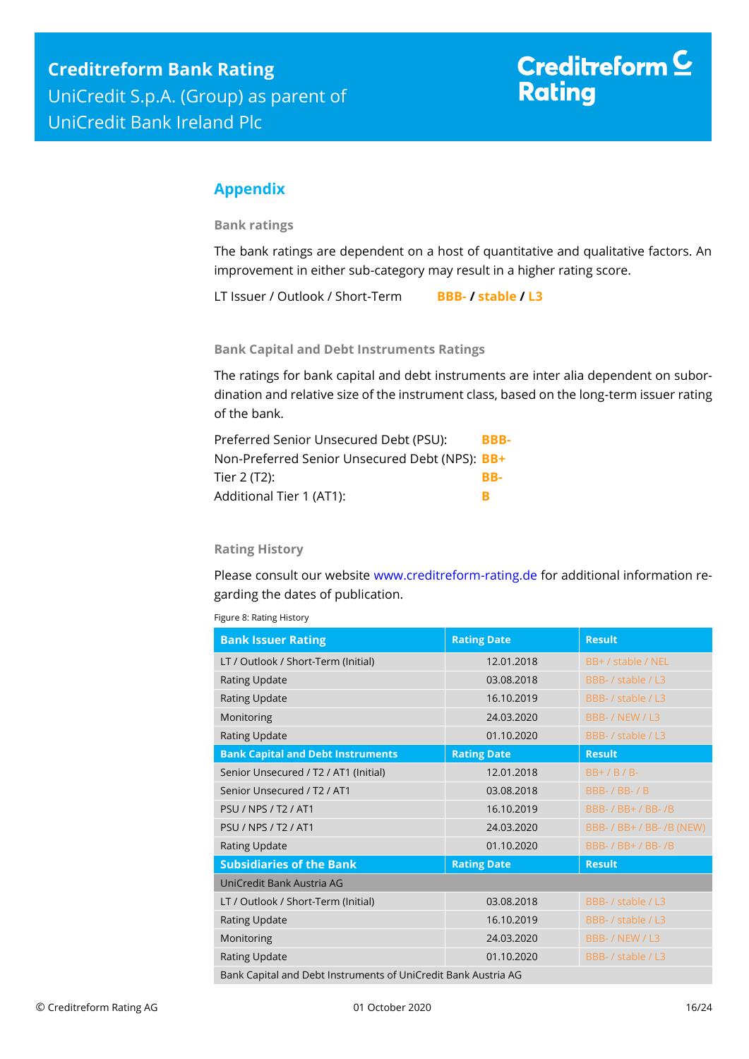## <span id="page-15-0"></span>**Appendix**

**Bank ratings**

The bank ratings are dependent on a host of quantitative and qualitative factors. An improvement in either sub-category may result in a higher rating score.

LT Issuer / Outlook / Short-Term **BBB- / stable / L3**

**Bank Capital and Debt Instruments Ratings**

The ratings for bank capital and debt instruments are inter alia dependent on subordination and relative size of the instrument class, based on the long-term issuer rating of the bank.

| Preferred Senior Unsecured Debt (PSU):         | BBB- |
|------------------------------------------------|------|
| Non-Preferred Senior Unsecured Debt (NPS): BB+ |      |
| Tier 2 (T2):                                   | RR-  |
| Additional Tier 1 (AT1):                       | R    |

## **Rating History**

Please consult our website [www.creditreform-rating.de](http://www.creditreform-rating.de/) for additional information regarding the dates of publication.

| <b>Bank Issuer Rating</b>                                      | <b>Rating Date</b> | <b>Result</b>             |  |  |  |  |  |
|----------------------------------------------------------------|--------------------|---------------------------|--|--|--|--|--|
| LT / Outlook / Short-Term (Initial)                            | 12.01.2018         | BB+ / stable / NEL        |  |  |  |  |  |
| <b>Rating Update</b>                                           | 03.08.2018         | BBB- / stable / L3        |  |  |  |  |  |
| <b>Rating Update</b>                                           | 16.10.2019         | BBB- / stable / L3        |  |  |  |  |  |
| Monitoring                                                     | 24.03.2020         | BBB- / NEW / L3           |  |  |  |  |  |
| Rating Update                                                  | 01.10.2020         | BBB- / stable / L3        |  |  |  |  |  |
| <b>Bank Capital and Debt Instruments</b>                       | <b>Rating Date</b> | <b>Result</b>             |  |  |  |  |  |
| Senior Unsecured / T2 / AT1 (Initial)                          | 12.01.2018         | $BB+$ / B / B-            |  |  |  |  |  |
| Senior Unsecured / T2 / AT1                                    | 03.08.2018         | <b>BBB-/BB-/B</b>         |  |  |  |  |  |
| <b>PSU / NPS / T2 / AT1</b>                                    | 16.10.2019         | BBB- / BB+ / BB- /B       |  |  |  |  |  |
| PSU / NPS / T2 / AT1                                           | 24.03.2020         | BBB- / BB+ / BB- /B (NEW) |  |  |  |  |  |
| <b>Rating Update</b>                                           | 01.10.2020         | BBB- / BB+ / BB- /B       |  |  |  |  |  |
| <b>Subsidiaries of the Bank</b>                                | <b>Rating Date</b> | <b>Result</b>             |  |  |  |  |  |
| UniCredit Bank Austria AG                                      |                    |                           |  |  |  |  |  |
| LT / Outlook / Short-Term (Initial)                            | 03.08.2018         | BBB- / stable / L3        |  |  |  |  |  |
| <b>Rating Update</b>                                           | 16.10.2019         | BBB- / stable / L3        |  |  |  |  |  |
| Monitoring                                                     | 24.03.2020         | BBB- / NEW / L3           |  |  |  |  |  |
| <b>Rating Update</b>                                           | 01.10.2020         | BBB- / stable / L3        |  |  |  |  |  |
| Bank Capital and Debt Instruments of UniCredit Bank Austria AG |                    |                           |  |  |  |  |  |

Figure 8: Rating History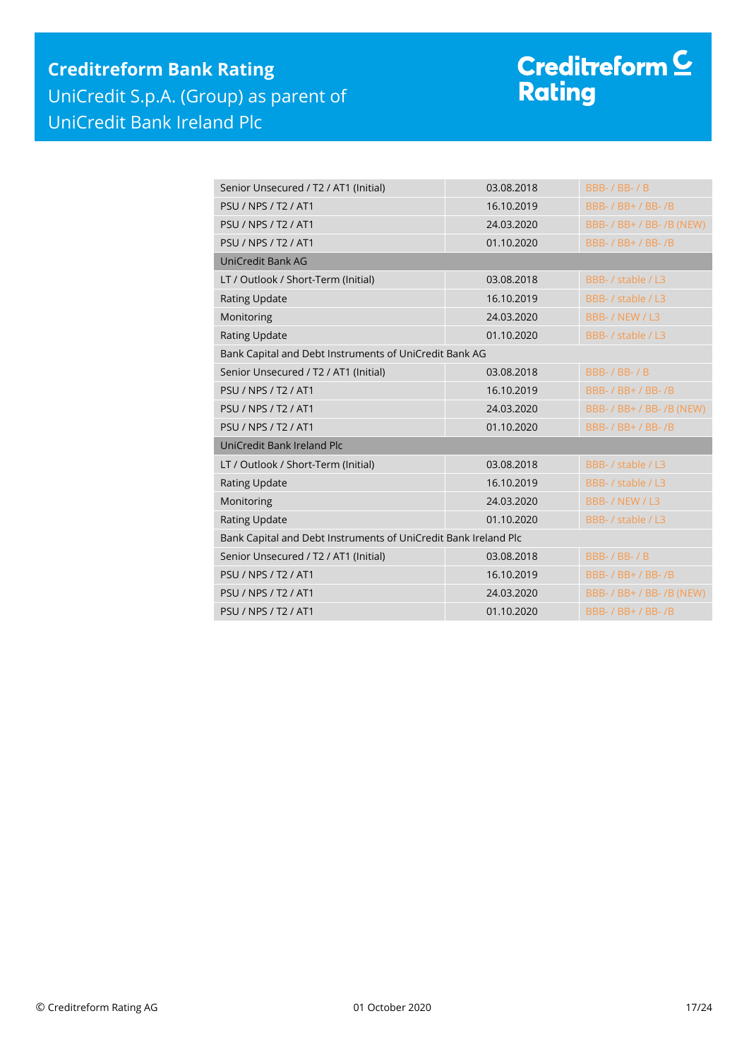## **Creditreform Bank Rating** UniCredit S.p.A. (Group) as parent of UniCredit Bank Ireland Plc

# Creditreform <sup>C</sup><br>Rating

| Senior Unsecured / T2 / AT1 (Initial)                           | 03.08.2018 | <b>BBB-/BB-/B</b>         |
|-----------------------------------------------------------------|------------|---------------------------|
| <b>PSU / NPS / T2 / AT1</b>                                     | 16.10.2019 | BBB- / BB+ / BB- /B       |
| <b>PSU / NPS / T2 / AT1</b>                                     | 24.03.2020 | BBB- / BB+ / BB- /B (NEW) |
| <b>PSU / NPS / T2 / AT1</b>                                     | 01.10.2020 | BBB- / BB+ / BB- /B       |
| <b>UniCredit Bank AG</b>                                        |            |                           |
| LT / Outlook / Short-Term (Initial)                             | 03.08.2018 | BBB- / stable / L3        |
| <b>Rating Update</b>                                            | 16.10.2019 | BBB- / stable / L3        |
| Monitoring                                                      | 24.03.2020 | BBB- / NEW / L3           |
| Rating Update                                                   | 01.10.2020 | BBB- / stable / L3        |
| Bank Capital and Debt Instruments of UniCredit Bank AG          |            |                           |
| Senior Unsecured / T2 / AT1 (Initial)                           | 03.08.2018 | <b>BBB-/BB-/B</b>         |
| <b>PSU / NPS / T2 / AT1</b>                                     | 16.10.2019 | BBB- / BB+ / BB- /B       |
| <b>PSU / NPS / T2 / AT1</b>                                     | 24.03.2020 | BBB- / BB+ / BB- /B (NEW) |
| <b>PSU / NPS / T2 / AT1</b>                                     | 01.10.2020 | BBB- / BB+ / BB- /B       |
| UniCredit Bank Ireland Plc                                      |            |                           |
| LT / Outlook / Short-Term (Initial)                             | 03.08.2018 | BBB- / stable / L3        |
| <b>Rating Update</b>                                            | 16.10.2019 | BBB- / stable / L3        |
| Monitoring                                                      | 24.03.2020 | BBB- / NEW / L3           |
| Rating Update                                                   | 01.10.2020 | BBB- / stable / L3        |
| Bank Capital and Debt Instruments of UniCredit Bank Ireland Plc |            |                           |
| Senior Unsecured / T2 / AT1 (Initial)                           | 03.08.2018 | <b>BBB-/BB-/B</b>         |
| <b>PSU / NPS / T2 / AT1</b>                                     | 16.10.2019 | BBB- / BB+ / BB- /B       |
| <b>PSU / NPS / T2 / AT1</b>                                     | 24.03.2020 | BBB- / BB+ / BB- /B (NEW) |
| <b>PSU / NPS / T2 / AT1</b>                                     | 01.10.2020 | BBB- / BB+ / BB- /B       |
|                                                                 |            |                           |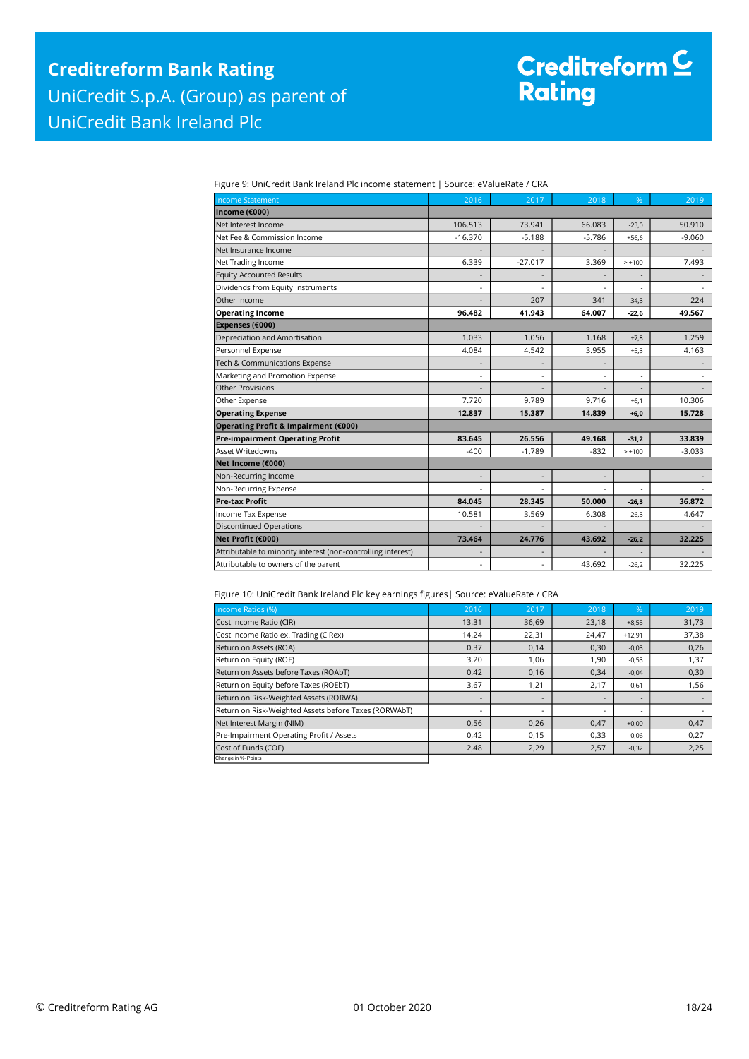Figure 9: UniCredit Bank Ireland Plc income statement | Source: eValueRate / CRA

| <b>Income Statement</b>                                      | 2016                     | 2017                     | 2018     | %                        | 2019     |
|--------------------------------------------------------------|--------------------------|--------------------------|----------|--------------------------|----------|
| Income (€000)                                                |                          |                          |          |                          |          |
| Net Interest Income                                          | 106.513                  | 73.941                   | 66.083   | $-23,0$                  | 50.910   |
| Net Fee & Commission Income                                  | $-16.370$                | $-5.188$                 | $-5.786$ | $+56,6$                  | $-9.060$ |
| Net Insurance Income                                         |                          |                          |          |                          |          |
| Net Trading Income                                           | 6.339                    | $-27.017$                | 3.369    | $> +100$                 | 7.493    |
| <b>Equity Accounted Results</b>                              |                          |                          |          |                          |          |
| Dividends from Equity Instruments                            |                          |                          |          |                          |          |
| Other Income                                                 |                          | 207                      | 341      | $-34,3$                  | 224      |
| <b>Operating Income</b>                                      | 96.482                   | 41.943                   | 64.007   | $-22,6$                  | 49.567   |
| Expenses (€000)                                              |                          |                          |          |                          |          |
| Depreciation and Amortisation                                | 1.033                    | 1.056                    | 1.168    | $+7,8$                   | 1.259    |
| Personnel Expense                                            | 4.084                    | 4.542                    | 3.955    | $+5.3$                   | 4.163    |
| Tech & Communications Expense                                |                          |                          |          |                          |          |
| Marketing and Promotion Expense                              | $\blacksquare$           |                          |          | $\overline{\phantom{a}}$ |          |
| Other Provisions                                             |                          |                          |          |                          |          |
| Other Expense                                                | 7.720                    | 9.789                    | 9.716    | $+6,1$                   | 10.306   |
| <b>Operating Expense</b>                                     | 12.837                   | 15.387                   | 14.839   | $+6.0$                   | 15.728   |
| Operating Profit & Impairment (€000)                         |                          |                          |          |                          |          |
| <b>Pre-impairment Operating Profit</b>                       | 83.645                   | 26.556                   | 49.168   | $-31.2$                  | 33.839   |
| <b>Asset Writedowns</b>                                      | $-400$                   | $-1.789$                 | $-832$   | $> +100$                 | $-3.033$ |
| Net Income (€000)                                            |                          |                          |          |                          |          |
| Non-Recurring Income                                         | $\overline{\phantom{a}}$ |                          |          | $\overline{\phantom{a}}$ |          |
| Non-Recurring Expense                                        |                          |                          |          |                          |          |
| <b>Pre-tax Profit</b>                                        | 84.045                   | 28.345                   | 50.000   | $-26,3$                  | 36.872   |
| Income Tax Expense                                           | 10.581                   | 3.569                    | 6.308    | $-26,3$                  | 4.647    |
| <b>Discontinued Operations</b>                               |                          |                          |          |                          |          |
| Net Profit (€000)                                            | 73.464                   | 24.776                   | 43.692   | $-26,2$                  | 32.225   |
| Attributable to minority interest (non-controlling interest) |                          |                          |          |                          |          |
| Attributable to owners of the parent                         | $\blacksquare$           | $\overline{\phantom{a}}$ | 43.692   | $-26,2$                  | 32.225   |

Figure 10: UniCredit Bank Ireland Plc key earnings figures| Source: eValueRate / CRA

| Income Ratios (%)                                     | 2016  | 2017                     | 2018                     | %        | 2019  |
|-------------------------------------------------------|-------|--------------------------|--------------------------|----------|-------|
| Cost Income Ratio (CIR)                               | 13,31 | 36,69                    | 23,18                    | $+8,55$  | 31,73 |
| Cost Income Ratio ex. Trading (CIRex)                 | 14.24 | 22,31                    | 24,47                    | $+12.91$ | 37,38 |
| Return on Assets (ROA)                                | 0,37  | 0,14                     | 0,30                     | $-0,03$  | 0,26  |
| Return on Equity (ROE)                                | 3,20  | 1,06                     | 1,90                     | $-0,53$  | 1,37  |
| Return on Assets before Taxes (ROAbT)                 | 0,42  | 0,16                     | 0,34                     | $-0.04$  | 0,30  |
| Return on Equity before Taxes (ROEbT)                 | 3,67  | 1,21                     | 2,17                     | $-0,61$  | 1,56  |
| Return on Risk-Weighted Assets (RORWA)                |       | -                        |                          | ۰        |       |
| Return on Risk-Weighted Assets before Taxes (RORWAbT) | ٠     | $\overline{\phantom{0}}$ | $\overline{\phantom{a}}$ | ۰        |       |
| Net Interest Margin (NIM)                             | 0,56  | 0,26                     | 0,47                     | $+0,00$  | 0,47  |
| Pre-Impairment Operating Profit / Assets              | 0,42  | 0,15                     | 0,33                     | $-0,06$  | 0,27  |
| Cost of Funds (COF)                                   | 2,48  | 2,29                     | 2,57                     | $-0,32$  | 2,25  |
| Change in %- Points                                   |       |                          |                          |          |       |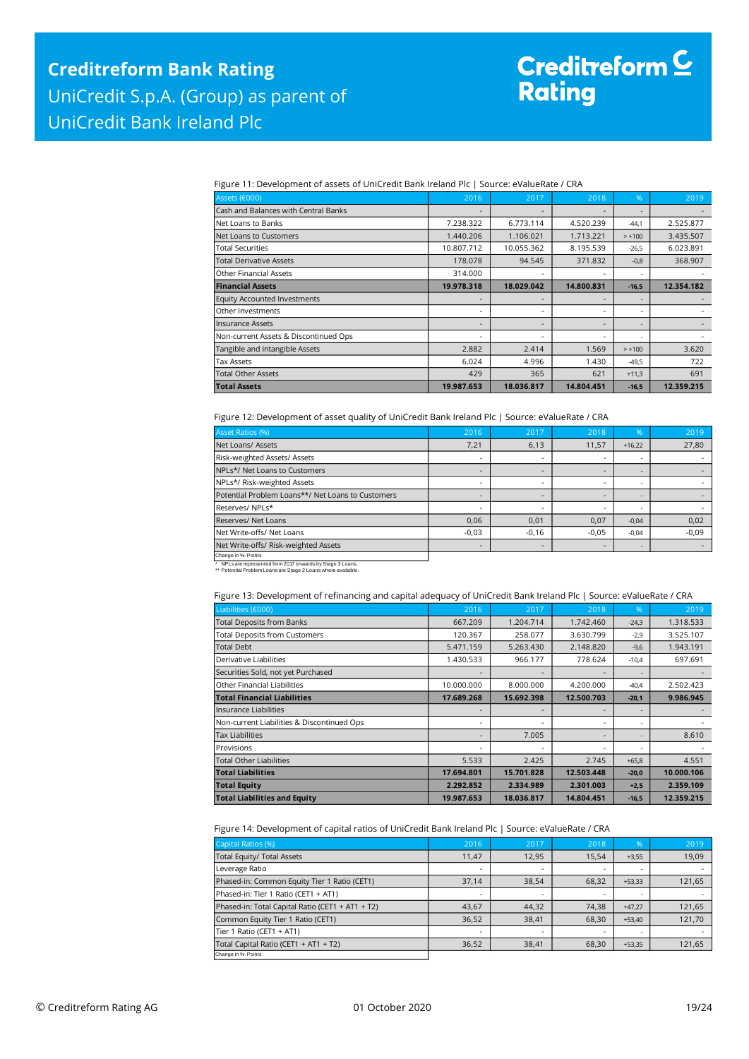#### Figure 11: Development of assets of UniCredit Bank Ireland Plc | Source: eValueRate / CRA

| Assets (€000)                         | 2016                     | 2017       | 2018       | %        | 2019       |
|---------------------------------------|--------------------------|------------|------------|----------|------------|
| Cash and Balances with Central Banks  | -                        |            |            | ۰        |            |
| Net Loans to Banks                    | 7.238.322                | 6.773.114  | 4.520.239  | $-44.1$  | 2.525.877  |
| Net Loans to Customers                | 1.440.206                | 1.106.021  | 1.713.221  | $> +100$ | 3.435.507  |
| <b>Total Securities</b>               | 10.807.712               | 10.055.362 | 8.195.539  | $-26,5$  | 6.023.891  |
| <b>Total Derivative Assets</b>        | 178,078                  | 94.545     | 371.832    | $-0,8$   | 368.907    |
| Other Financial Assets                | 314.000                  |            |            | ٠        |            |
| <b>Financial Assets</b>               | 19.978.318               | 18.029.042 | 14.800.831 | $-16,5$  | 12.354.182 |
| <b>Equity Accounted Investments</b>   | -                        |            |            | ٠        |            |
| Other Investments                     | $\overline{\phantom{a}}$ | ٠          |            | ۰        |            |
| <b>Insurance Assets</b>               | ٠                        | -          |            | ۰        |            |
| Non-current Assets & Discontinued Ops | $\overline{\phantom{a}}$ |            |            | ٠        |            |
| Tangible and Intangible Assets        | 2.882                    | 2.414      | 1.569      | $> +100$ | 3.620      |
| Tax Assets                            | 6.024                    | 4.996      | 1.430      | $-49,5$  | 722        |
| <b>Total Other Assets</b>             | 429                      | 365        | 621        | $+11.3$  | 691        |
| <b>Total Assets</b>                   | 19.987.653               | 18.036.817 | 14.804.451 | $-16,5$  | 12.359.215 |

Figure 12: Development of asset quality of UniCredit Bank Ireland Plc | Source: eValueRate / CRA

| <b>Asset Ratios (%)</b>                           | 2016                     | 2017                     | 2018                     | %                        | 2019    |
|---------------------------------------------------|--------------------------|--------------------------|--------------------------|--------------------------|---------|
| Net Loans/ Assets                                 | 7,21                     | 6,13                     | 11,57                    | $+16,22$                 | 27,80   |
| Risk-weighted Assets/ Assets                      | $\overline{\phantom{0}}$ | $\overline{\phantom{a}}$ | $\overline{\phantom{a}}$ |                          |         |
| NPLs*/ Net Loans to Customers                     | ۰                        | $\overline{\phantom{a}}$ | $\overline{\phantom{a}}$ |                          |         |
| NPLs*/ Risk-weighted Assets                       | ٠                        | <b>.</b>                 | <b>.</b>                 |                          |         |
| Potential Problem Loans**/ Net Loans to Customers | -                        | $\overline{\phantom{a}}$ | $\overline{\phantom{a}}$ |                          |         |
| Reserves/ NPLs*                                   | ٠                        | <b>.</b>                 | <b>.</b>                 | ٠                        |         |
| Reserves/ Net Loans                               | 0,06                     | 0,01                     | 0,07                     | $-0,04$                  | 0,02    |
| Net Write-offs/ Net Loans                         | $-0.03$                  | $-0,16$                  | $-0.05$                  | $-0.04$                  | $-0,09$ |
| Net Write-offs/ Risk-weighted Assets              | ٠                        | -                        | $\overline{\phantom{a}}$ | $\overline{\phantom{a}}$ |         |
| Change in %- Points                               |                          |                          |                          |                          |         |

\* NPLs are represented from 2017 onwards by Stage 3 Loans. \*\* Potential Problem Loans are Stage 2 Loans where available.

#### Figure 13: Development of refinancing and capital adequacy of UniCredit Bank Ireland Plc | Source: eValueRate / CRA

| Liabilities (€000)                         | 2016       | 2017       | 2018       | %                        | 2019       |
|--------------------------------------------|------------|------------|------------|--------------------------|------------|
| <b>Total Deposits from Banks</b>           | 667.209    | 1.204.714  | 1.742.460  | $-24,3$                  | 1.318.533  |
| <b>Total Deposits from Customers</b>       | 120.367    | 258.077    | 3.630.799  | $-2,9$                   | 3.525.107  |
| <b>Total Debt</b>                          | 5.471.159  | 5.263.430  | 2.148.820  | $-9,6$                   | 1.943.191  |
| Derivative Liabilities                     | 1.430.533  | 966.177    | 778.624    | $-10,4$                  | 697.691    |
| Securities Sold, not yet Purchased         | ٠          |            |            |                          |            |
| Other Financial Liabilities                | 10.000.000 | 8.000.000  | 4.200.000  | $-40,4$                  | 2.502.423  |
| <b>Total Financial Liabilities</b>         | 17.689.268 | 15.692.398 | 12.500.703 | $-20,1$                  | 9.986.945  |
| Insurance Liabilities                      |            |            |            | $\overline{\phantom{a}}$ |            |
| Non-current Liabilities & Discontinued Ops | ٠          |            |            |                          |            |
|                                            |            |            | ۰.         | ٠                        |            |
| <b>Tax Liabilities</b>                     | ٠          | 7.005      |            |                          | 8.610      |
| Provisions                                 |            |            |            | ٠                        |            |
| <b>Total Other Liabilities</b>             | 5.533      | 2.425      | 2.745      | $+65,8$                  | 4.551      |
| <b>Total Liabilities</b>                   | 17.694.801 | 15.701.828 | 12.503.448 | $-20,0$                  | 10.000.106 |
| <b>Total Equity</b>                        | 2.292.852  | 2.334.989  | 2.301.003  | $+2,5$                   | 2.359.109  |

Figure 14: Development of capital ratios of UniCredit Bank Ireland Plc | Source: eValueRate / CRA

| Capital Ratios (%)                               | 2016                     | 2017                     | 2018  | $\frac{9}{6}$  | 2019.                    |
|--------------------------------------------------|--------------------------|--------------------------|-------|----------------|--------------------------|
| Total Equity/ Total Assets                       | 11,47                    | 12,95                    | 15.54 | $+3,55$        | 19,09                    |
| Leverage Ratio                                   | ٠                        | $\sim$                   |       | $\overline{a}$ | $\overline{\phantom{a}}$ |
| Phased-in: Common Equity Tier 1 Ratio (CET1)     | 37,14                    | 38.54                    | 68,32 | $+53,33$       | 121,65                   |
| Phased-in: Tier 1 Ratio (CET1 + AT1)             | $\overline{\phantom{0}}$ | $\overline{\phantom{0}}$ |       | ٠              |                          |
| Phased-in: Total Capital Ratio (CET1 + AT1 + T2) | 43,67                    | 44,32                    | 74,38 | $+47,27$       | 121,65                   |
| Common Equity Tier 1 Ratio (CET1)                | 36,52                    | 38,41                    | 68,30 | $+53,40$       | 121,70                   |
| Tier 1 Ratio (CET1 + AT1)                        | $\overline{\phantom{0}}$ | -                        |       |                |                          |
| Total Capital Ratio (CET1 + AT1 + T2)            | 36,52                    | 38,41                    | 68,30 | $+53,35$       | 121,65                   |
| Change in %- Points                              |                          |                          |       |                |                          |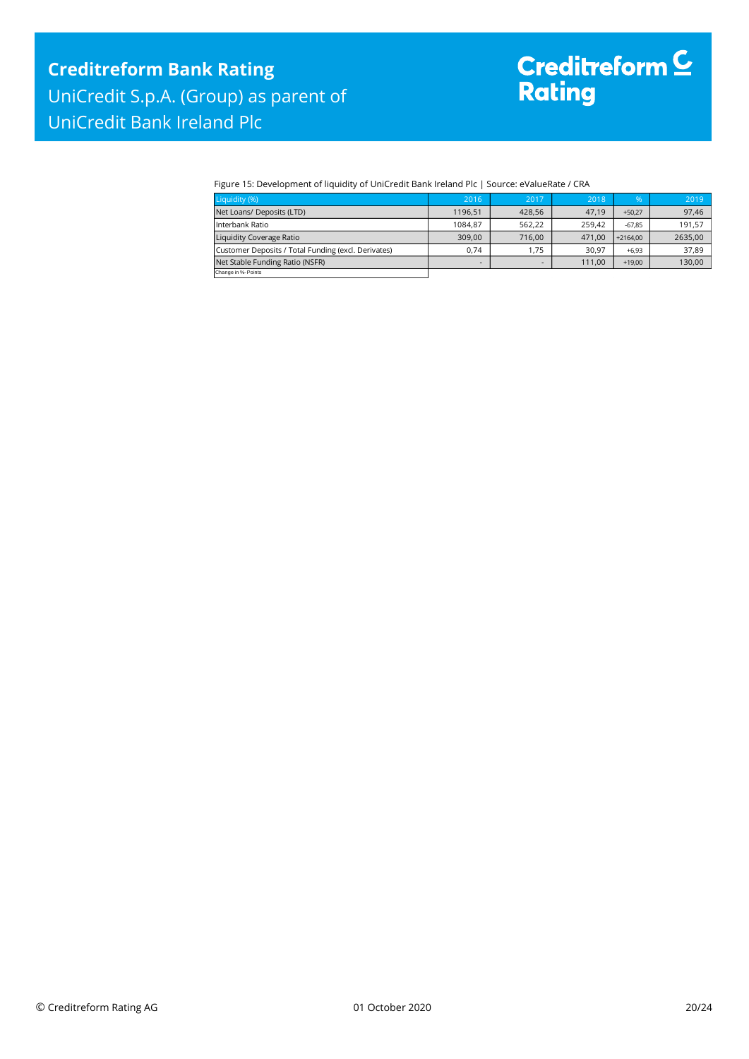#### Figure 15: Development of liquidity of UniCredit Bank Ireland Plc | Source: eValueRate / CRA

| Liquidity (%)                                       | 2016    | 2017   | 2018   | $\%$       | 2019    |
|-----------------------------------------------------|---------|--------|--------|------------|---------|
| Net Loans/ Deposits (LTD)                           | 1196.51 | 428,56 | 47.19  | $+50.27$   | 97,46   |
| Interbank Ratio                                     | 1084.87 | 562.22 | 259.42 | $-67.85$   | 191,57  |
| Liquidity Coverage Ratio                            | 309.00  | 716.00 | 471.00 | $+2164.00$ | 2635,00 |
| Customer Deposits / Total Funding (excl. Derivates) | 0.74    | 1.75   | 30.97  | $+6.93$    | 37,89   |
| Net Stable Funding Ratio (NSFR)                     |         |        | 111.00 | $+19.00$   | 130,00  |
| Change in %- Points                                 |         |        |        |            |         |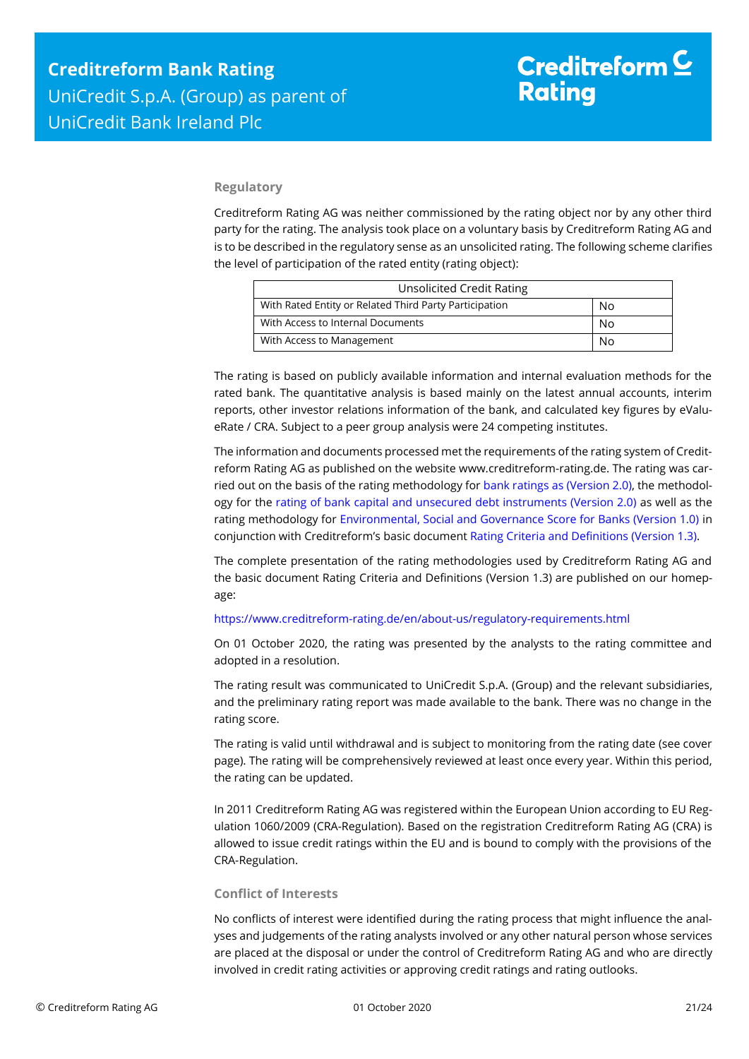## **Regulatory**

Creditreform Rating AG was neither commissioned by the rating object nor by any other third party for the rating. The analysis took place on a voluntary basis by Creditreform Rating AG and is to be described in the regulatory sense as an unsolicited rating. The following scheme clarifies the level of participation of the rated entity (rating object):

| Unsolicited Credit Rating                              |    |  |
|--------------------------------------------------------|----|--|
| With Rated Entity or Related Third Party Participation | No |  |
| With Access to Internal Documents                      | No |  |
| With Access to Management                              | No |  |

The rating is based on publicly available information and internal evaluation methods for the rated bank. The quantitative analysis is based mainly on the latest annual accounts, interim reports, other investor relations information of the bank, and calculated key figures by eValueRate / CRA. Subject to a peer group analysis were 24 competing institutes.

The information and documents processed met the requirements of the rating system of Creditreform Rating AG as published on the website www.creditreform-rating.de. The rating was carried out on the basis of the rating methodology fo[r bank ratings as \(Version 2.0\),](https://www.creditreform-rating.de/en/about-us/regulatory-requirements.html?file=files/content/downloads/Externes%20Rating/Regulatorische%20Anforderungen/EN/Ratingmethodiken%20EN/Rating%20Methodology%20Bank%20Ratings%20v2.0.pdf) the methodology for the [rating of bank capital and unsecured debt instruments \(Version 2.0\)](https://www.creditreform-rating.de/en/about-us/regulatory-requirements.html?file=files/content/downloads/Externes%20Rating/Regulatorische%20Anforderungen/EN/Ratingmethodiken%20EN/Bank%20Capital%20and%20Unsecured%20Debt%20Instruments%20Methodology.pdf) as well as the rating methodology for [Environmental, Social and Governance Score for Banks \(Version 1.0\)](https://www.creditreform-rating.de/en/about-us/regulatory-requirements.html?file=files/content/downloads/Externes%20Rating/Regulatorische%20Anforderungen/EN/Ratingmethodiken%20EN/Rating%20Methodology%20ESG%20v1.0.pdf) in conjunction with Creditreform's basic documen[t Rating Criteria and Definitions \(Version 1.3\).](https://www.creditreform-rating.de/en/about-us/regulatory-requirements.html?file=files/content/downloads/Externes%20Rating/Regulatorische%20Anforderungen/EN/Ratingmethodiken%20EN/CRAG%20Rating%20Criteria%20and%20Definitions.pdf)

The complete presentation of the rating methodologies used by Creditreform Rating AG and the basic document Rating Criteria and Definitions (Version 1.3) are published on our homepage:

#### <https://www.creditreform-rating.de/en/about-us/regulatory-requirements.html>

On 01 October 2020, the rating was presented by the analysts to the rating committee and adopted in a resolution.

The rating result was communicated to UniCredit S.p.A. (Group) and the relevant subsidiaries, and the preliminary rating report was made available to the bank. There was no change in the rating score.

The rating is valid until withdrawal and is subject to monitoring from the rating date (see cover page). The rating will be comprehensively reviewed at least once every year. Within this period, the rating can be updated.

In 2011 Creditreform Rating AG was registered within the European Union according to EU Regulation 1060/2009 (CRA-Regulation). Based on the registration Creditreform Rating AG (CRA) is allowed to issue credit ratings within the EU and is bound to comply with the provisions of the CRA-Regulation.

## **Conflict of Interests**

No conflicts of interest were identified during the rating process that might influence the analyses and judgements of the rating analysts involved or any other natural person whose services are placed at the disposal or under the control of Creditreform Rating AG and who are directly involved in credit rating activities or approving credit ratings and rating outlooks.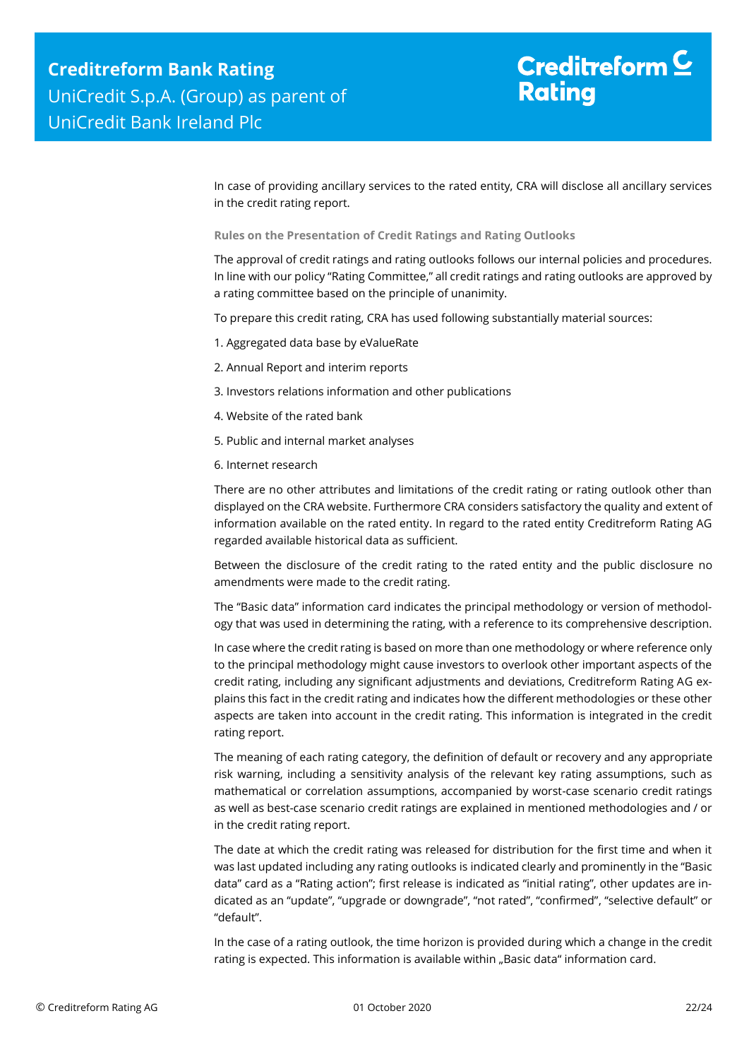In case of providing ancillary services to the rated entity, CRA will disclose all ancillary services in the credit rating report.

**Rules on the Presentation of Credit Ratings and Rating Outlooks**

The approval of credit ratings and rating outlooks follows our internal policies and procedures. In line with our policy "Rating Committee," all credit ratings and rating outlooks are approved by a rating committee based on the principle of unanimity.

To prepare this credit rating, CRA has used following substantially material sources:

- 1. Aggregated data base by eValueRate
- 2. Annual Report and interim reports
- 3. Investors relations information and other publications
- 4. Website of the rated bank
- 5. Public and internal market analyses
- 6. Internet research

There are no other attributes and limitations of the credit rating or rating outlook other than displayed on the CRA website. Furthermore CRA considers satisfactory the quality and extent of information available on the rated entity. In regard to the rated entity Creditreform Rating AG regarded available historical data as sufficient.

Between the disclosure of the credit rating to the rated entity and the public disclosure no amendments were made to the credit rating.

The "Basic data" information card indicates the principal methodology or version of methodology that was used in determining the rating, with a reference to its comprehensive description.

In case where the credit rating is based on more than one methodology or where reference only to the principal methodology might cause investors to overlook other important aspects of the credit rating, including any significant adjustments and deviations, Creditreform Rating AG explains this fact in the credit rating and indicates how the different methodologies or these other aspects are taken into account in the credit rating. This information is integrated in the credit rating report.

The meaning of each rating category, the definition of default or recovery and any appropriate risk warning, including a sensitivity analysis of the relevant key rating assumptions, such as mathematical or correlation assumptions, accompanied by worst-case scenario credit ratings as well as best-case scenario credit ratings are explained in mentioned methodologies and / or in the credit rating report.

The date at which the credit rating was released for distribution for the first time and when it was last updated including any rating outlooks is indicated clearly and prominently in the "Basic data" card as a "Rating action"; first release is indicated as "initial rating", other updates are indicated as an "update", "upgrade or downgrade", "not rated", "confirmed", "selective default" or "default".

In the case of a rating outlook, the time horizon is provided during which a change in the credit rating is expected. This information is available within "Basic data" information card.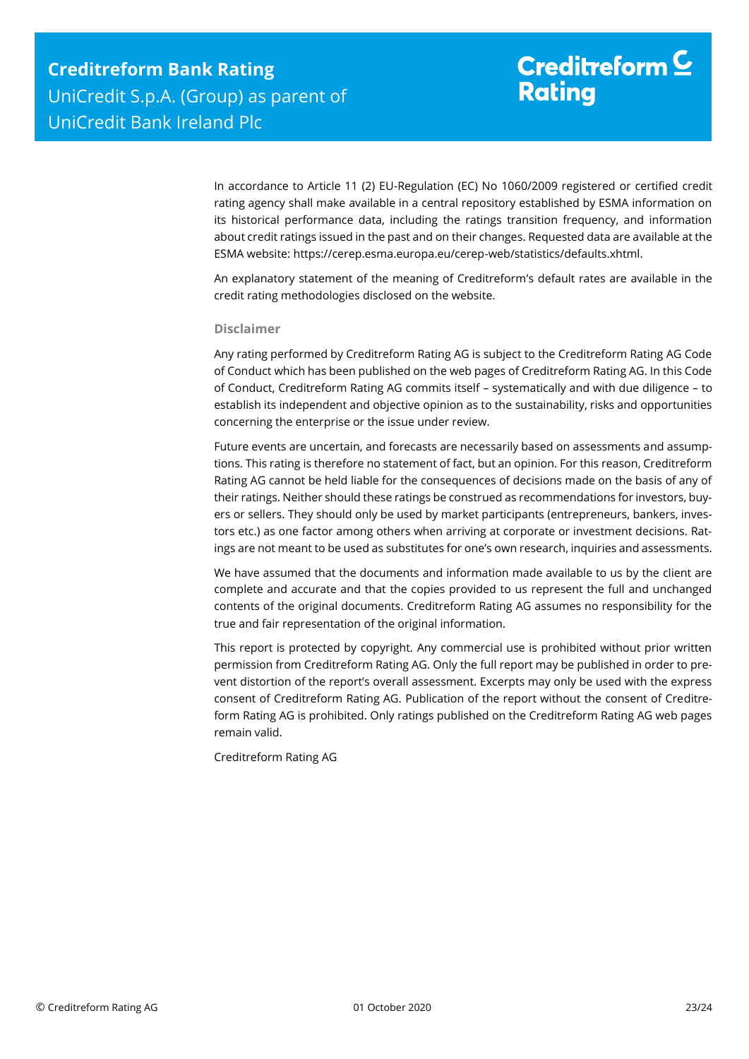In accordance to Article 11 (2) EU-Regulation (EC) No 1060/2009 registered or certified credit rating agency shall make available in a central repository established by ESMA information on its historical performance data, including the ratings transition frequency, and information about credit ratings issued in the past and on their changes. Requested data are available at the ESMA website: https://cerep.esma.europa.eu/cerep-web/statistics/defaults.xhtml.

An explanatory statement of the meaning of Creditreform's default rates are available in the credit rating methodologies disclosed on the website.

#### **Disclaimer**

Any rating performed by Creditreform Rating AG is subject to the Creditreform Rating AG Code of Conduct which has been published on the web pages of Creditreform Rating AG. In this Code of Conduct, Creditreform Rating AG commits itself – systematically and with due diligence – to establish its independent and objective opinion as to the sustainability, risks and opportunities concerning the enterprise or the issue under review.

Future events are uncertain, and forecasts are necessarily based on assessments and assumptions. This rating is therefore no statement of fact, but an opinion. For this reason, Creditreform Rating AG cannot be held liable for the consequences of decisions made on the basis of any of their ratings. Neither should these ratings be construed as recommendations for investors, buyers or sellers. They should only be used by market participants (entrepreneurs, bankers, investors etc.) as one factor among others when arriving at corporate or investment decisions. Ratings are not meant to be used as substitutes for one's own research, inquiries and assessments.

We have assumed that the documents and information made available to us by the client are complete and accurate and that the copies provided to us represent the full and unchanged contents of the original documents. Creditreform Rating AG assumes no responsibility for the true and fair representation of the original information.

This report is protected by copyright. Any commercial use is prohibited without prior written permission from Creditreform Rating AG. Only the full report may be published in order to prevent distortion of the report's overall assessment. Excerpts may only be used with the express consent of Creditreform Rating AG. Publication of the report without the consent of Creditreform Rating AG is prohibited. Only ratings published on the Creditreform Rating AG web pages remain valid.

Creditreform Rating AG